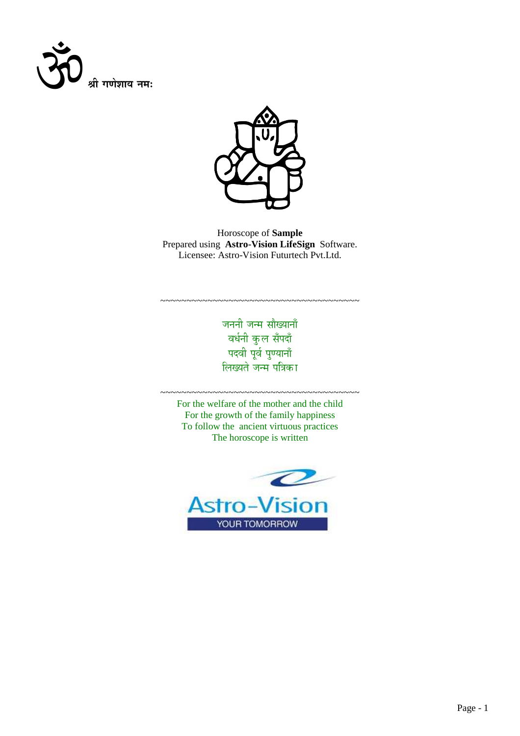



Horoscope of **Sample** Prepared using **Astro-Vision LifeSign** Software. Licensee: Astro-Vision Futurtech Pvt.Ltd.

> जननी जन्म सौख्यानाँ वर्धनी कुल सँपदाँ पदवी पूर्व पुण्यानाँ लिख्यते जन्म <mark>प</mark>त्रिका

~~~~~~~~~~~~~~~~~~~~~~~~~~~~~~~~~~~~~~

For the welfare of the mother and the child For the growth of the family happiness To follow the ancient virtuous practices The horoscope is written

~~~~~~~~~~~~~~~~~~~~~~~~~~~~~~~~~~~~~~

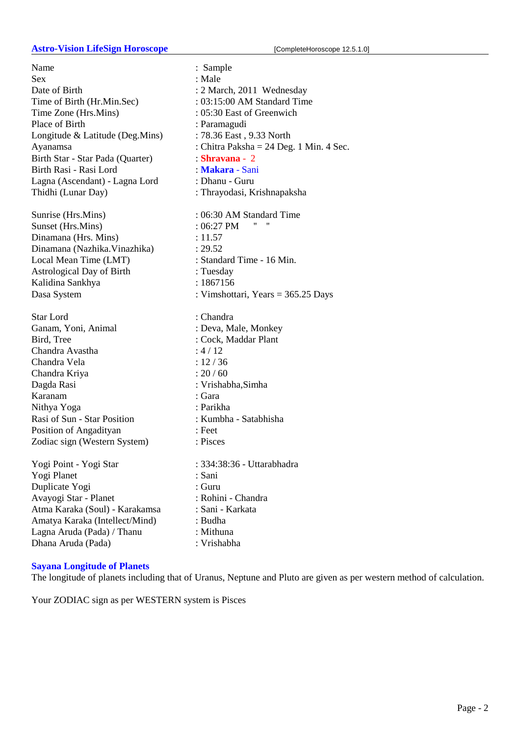#### **Astro-Vision LifeSign Horoscope** [CompleteHoroscope 12.5.1.0]

Name : Sample Sex : Male Date of Birth : 2 March, 2011 Wednesday Time of Birth (Hr.Min.Sec) : 03:15:00 AM Standard Time Time Zone (Hrs.Mins) : 05:30 East of Greenwich Place of Birth : Paramagudi Longitude & Latitude (Deg.Mins) : 78.36 East, 9.33 North Birth Star - Star Pada (Quarter) : **Shravana** - 2 Birth Rasi - Rasi Lord : **Makara** - Sani Lagna (Ascendant) - Lagna Lord : Dhanu - Guru Thidhi (Lunar Day) : Thrayodasi, Krishnapaksha

Sunset (Hrs. Mins) : 06:27 PM " Dinamana (Hrs. Mins) : 11.57 Dinamana (Nazhika.Vinazhika) : 29.52 Local Mean Time (LMT) : Standard Time - 16 Min. Astrological Day of Birth : Tuesday Kalidina Sankhya : 1867156

Star Lord : Chandra Ganam, Yoni, Animal : Deva, Male, Monkey Bird, Tree : Cock, Maddar Plant Chandra Avastha : 4 / 12 Chandra Vela : 12 / 36 Chandra Kriya : 20 / 60 Dagda Rasi : Vrishabha,Simha Karanam : Gara Nithya Yoga : Parikha Rasi of Sun - Star Position : Kumbha - Satabhisha Position of Angadityan : Feet Zodiac sign (Western System) : Pisces

Yogi Point - Yogi Star : 334:38:36 - Uttarabhadra Yogi Planet : Sani Duplicate Yogi : Guru Avayogi Star - Planet : Rohini - Chandra Atma Karaka (Soul) - Karakamsa : Sani - Karkata Amatya Karaka (Intellect/Mind) : Budha Lagna Aruda (Pada) / Thanu : Mithuna Dhana Aruda (Pada) : Vrishabha

# **Sayana Longitude of Planets**

The longitude of planets including that of Uranus, Neptune and Pluto are given as per western method of calculation.

Your ZODIAC sign as per WESTERN system is Pisces

Ayanamsa : Chitra Paksha = 24 Deg. 1 Min. 4 Sec. Sunrise (Hrs.Mins) : 06:30 AM Standard Time Dasa System : Vimshottari, Years = 365.25 Days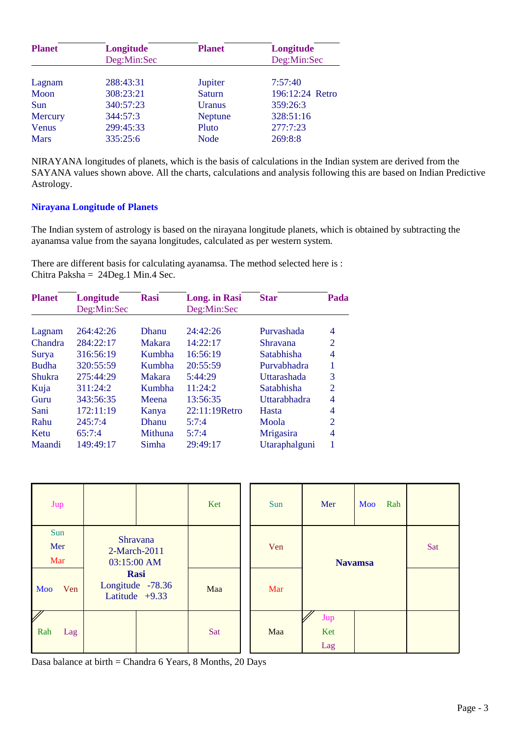| <b>Planet</b> | Longitude   | <b>Planet</b>  | Longitude       |
|---------------|-------------|----------------|-----------------|
|               | Deg:Min:Sec |                | Deg:Min:Sec     |
| Lagnam        | 288:43:31   | Jupiter        | 7:57:40         |
| Moon          | 308:23:21   | <b>Saturn</b>  | 196:12:24 Retro |
| Sun           | 340:57:23   | Uranus         | 359:26:3        |
| Mercury       | 344:57:3    | <b>Neptune</b> | 328:51:16       |
| Venus         | 299:45:33   | Pluto          | 277:7:23        |
| <b>Mars</b>   | 335:25:6    | <b>Node</b>    | 269:8:8         |

NIRAYANA longitudes of planets, which is the basis of calculations in the Indian system are derived from the SAYANA values shown above. All the charts, calculations and analysis following this are based on Indian Predictive Astrology.

# **Nirayana Longitude of Planets**

The Indian system of astrology is based on the nirayana longitude planets, which is obtained by subtracting the ayanamsa value from the sayana longitudes, calculated as per western system.

There are different basis for calculating ayanamsa. The method selected here is : Chitra Paksha = 24Deg.1 Min.4 Sec.

| <b>Planet</b> | Longitude   | <b>Rasi</b>    | <b>Long.</b> in Rasi | <b>Star</b>   | Pada           |
|---------------|-------------|----------------|----------------------|---------------|----------------|
|               | Deg:Min:Sec |                | Deg:Min:Sec          |               |                |
|               |             |                |                      |               |                |
| Lagnam        | 264:42:26   | <b>Dhanu</b>   | 24:42:26             | Purvashada    | 4              |
| Chandra       | 284:22:17   | Makara         | 14:22:17             | Shravana      | 2              |
| Surya         | 316:56:19   | Kumbha         | 16:56:19             | Satabhisha    | 4              |
| <b>Budha</b>  | 320:55:59   | Kumbha         | 20:55:59             | Purvabhadra   |                |
| Shukra        | 275:44:29   | Makara         | 5:44:29              | Uttarashada   | 3              |
| Kuja          | 311:24:2    | Kumbha         | 11:24:2              | Satabhisha    | $\overline{2}$ |
| Guru          | 343:56:35   | Meena          | 13:56:35             | Uttarabhadra  | 4              |
| Sani          | 172:11:19   | Kanya          | $22:11:19$ Retro     | Hasta         | 4              |
| Rahu          | 245:7:4     | <b>Dhanu</b>   | 5:7:4                | Moola         | $\overline{2}$ |
| Ketu          | 65:7:4      | <b>Mithuna</b> | 5:7:4                | Mrigasira     | 4              |
| Maandi        | 149:49:17   | Simha          | 29:49:17             | Utaraphalguni |                |

| Jup               |                                                     | Ket | Sun | Mer               | Moo<br>Rah |     |
|-------------------|-----------------------------------------------------|-----|-----|-------------------|------------|-----|
| Sun<br>Mer<br>Mar | Shravana<br>2-March-2011<br>03:15:00 AM             |     | Ven | <b>Navamsa</b>    |            | Sat |
| Ven<br>Moo        | <b>Rasi</b><br>Longitude -78.36<br>Latitude $+9.33$ | Maa | Mar |                   |            |     |
| V<br>Rah<br>Lag   |                                                     | Sat | Maa | Jup<br>Ket<br>Lag |            |     |

Dasa balance at birth = Chandra 6 Years, 8 Months, 20 Days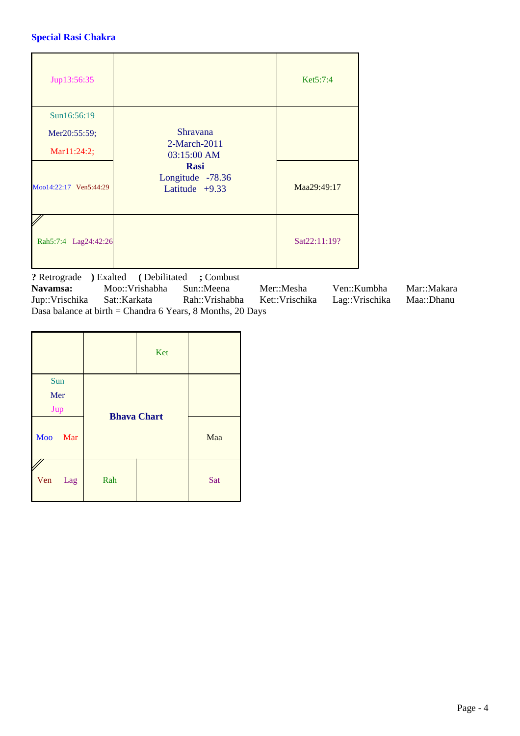# **Special Rasi Chakra**

| Jup13:56:35            |                                                     |                 | Ket5:7:4     |
|------------------------|-----------------------------------------------------|-----------------|--------------|
| Sun16:56:19            |                                                     |                 |              |
| Mer20:55:59;           |                                                     | <b>Shravana</b> |              |
| Mar11:24:2;            | 03:15:00 AM                                         | 2-March-2011    |              |
| Moo14:22:17 Ven5:44:29 | <b>Rasi</b><br>Longitude -78.36<br>Latitude $+9.33$ | Maa29:49:17     |              |
| Rah5:7:4 Lag24:42:26   |                                                     |                 | Sat22:11:19? |

**?** Retrograde ) Exalted ( Debilitated ; Combust<br>Navamsa: Moo::Vrishabha Sun::Meena **Navamsa:** Moo::Vrishabha Sun::Meena Mer::Mesha Ven::Kumbha Mar::Makara Jup::Vrischika Sat::Karkata Rah::Vrishabha Ket::Vrischika Lag::Vrischika Maa::Dhanu Dasa balance at birth = Chandra 6 Years, 8 Months, 20 Days

|            |                    | Ket |     |
|------------|--------------------|-----|-----|
| Sun        |                    |     |     |
| Mer        |                    |     |     |
| Jup        | <b>Bhava Chart</b> |     |     |
| Moo<br>Mar |                    |     | Maa |
| Ven<br>Lag | Rah                |     | Sat |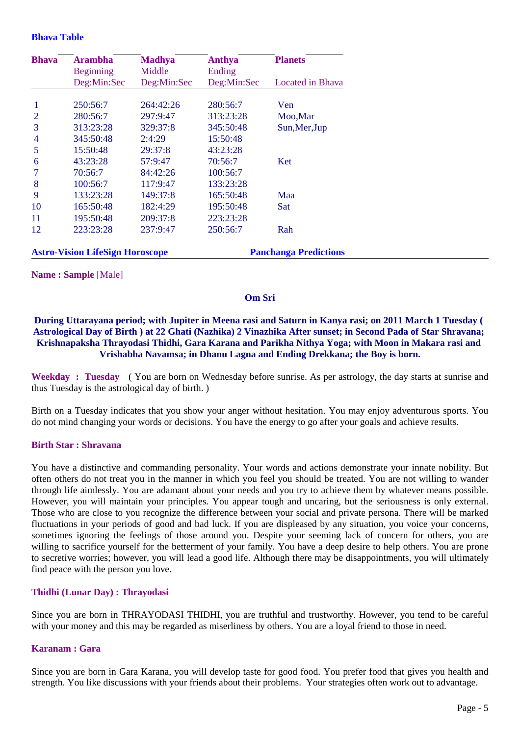#### **Bhava Table**

| <b>Bhava</b>   | <b>Arambha</b>                         | <b>Madhya</b> | Anthya                       | <b>Planets</b>   |
|----------------|----------------------------------------|---------------|------------------------------|------------------|
|                | <b>Beginning</b>                       | Middle        | Ending                       |                  |
|                | Deg:Min:Sec                            | Deg:Min:Sec   | Deg:Min:Sec                  | Located in Bhava |
|                |                                        |               |                              |                  |
| $\mathbf{1}$   | 250:56:7                               | 264:42:26     | 280:56:7                     | Ven              |
| $\overline{2}$ | 280:56:7                               | 297:9:47      | 313:23:28                    | Moo, Mar         |
| 3              | 313:23:28                              | 329:37:8      | 345:50:48                    | Sun, Mer, Jup    |
| $\overline{4}$ | 345:50:48                              | 2:4:29        | 15:50:48                     |                  |
| 5              | 15:50:48                               | 29:37:8       | 43:23:28                     |                  |
| 6              | 43:23:28                               | 57:9:47       | 70:56:7                      | Ket              |
| $\overline{7}$ | 70:56:7                                | 84:42:26      | 100:56:7                     |                  |
| 8              | 100:56:7                               | 117:9:47      | 133:23:28                    |                  |
| 9              | 133:23:28                              | 149:37:8      | 165:50:48                    | Maa              |
| 10             | 165:50:48                              | 182:4:29      | 195:50:48                    | Sat              |
| 11             | 195:50:48                              | 209:37:8      | 223:23:28                    |                  |
| 12             | 223:23:28                              | 237:9:47      | 250:56:7                     | Rah              |
|                |                                        |               |                              |                  |
|                | <b>Astro-Vision LifeSign Horoscope</b> |               | <b>Panchanga Predictions</b> |                  |

**Name : Sample** [Male]

## **Om Sri**

# **During Uttarayana period; with Jupiter in Meena rasi and Saturn in Kanya rasi; on 2011 March 1 Tuesday ( Astrological Day of Birth ) at 22 Ghati (Nazhika) 2 Vinazhika After sunset; in Second Pada of Star Shravana; Krishnapaksha Thrayodasi Thidhi, Gara Karana and Parikha Nithya Yoga; with Moon in Makara rasi and Vrishabha Navamsa; in Dhanu Lagna and Ending Drekkana; the Boy is born.**

**Weekday : Tuesday** ( You are born on Wednesday before sunrise. As per astrology, the day starts at sunrise and thus Tuesday is the astrological day of birth. )

Birth on a Tuesday indicates that you show your anger without hesitation. You may enjoy adventurous sports. You do not mind changing your words or decisions. You have the energy to go after your goals and achieve results.

#### **Birth Star : Shravana**

You have a distinctive and commanding personality. Your words and actions demonstrate your innate nobility. But often others do not treat you in the manner in which you feel you should be treated. You are not willing to wander through life aimlessly. You are adamant about your needs and you try to achieve them by whatever means possible. However, you will maintain your principles. You appear tough and uncaring, but the seriousness is only external. Those who are close to you recognize the difference between your social and private persona. There will be marked fluctuations in your periods of good and bad luck. If you are displeased by any situation, you voice your concerns, sometimes ignoring the feelings of those around you. Despite your seeming lack of concern for others, you are willing to sacrifice yourself for the betterment of your family. You have a deep desire to help others. You are prone to secretive worries; however, you will lead a good life. Although there may be disappointments, you will ultimately find peace with the person you love.

# **Thidhi (Lunar Day) : Thrayodasi**

Since you are born in THRAYODASI THIDHI, you are truthful and trustworthy. However, you tend to be careful with your money and this may be regarded as miserliness by others. You are a loyal friend to those in need.

# **Karanam : Gara**

Since you are born in Gara Karana, you will develop taste for good food. You prefer food that gives you health and strength. You like discussions with your friends about their problems. Your strategies often work out to advantage.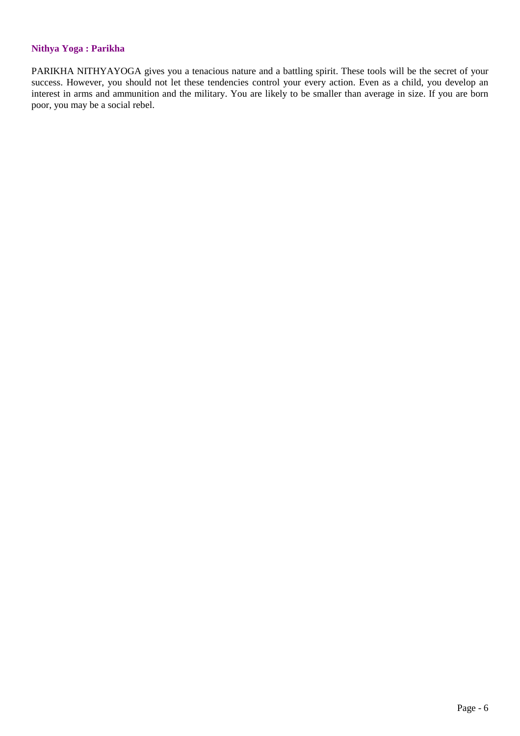# **Nithya Yoga : Parikha**

PARIKHA NITHYAYOGA gives you a tenacious nature and a battling spirit. These tools will be the secret of your success. However, you should not let these tendencies control your every action. Even as a child, you develop an interest in arms and ammunition and the military. You are likely to be smaller than average in size. If you are born poor, you may be a social rebel.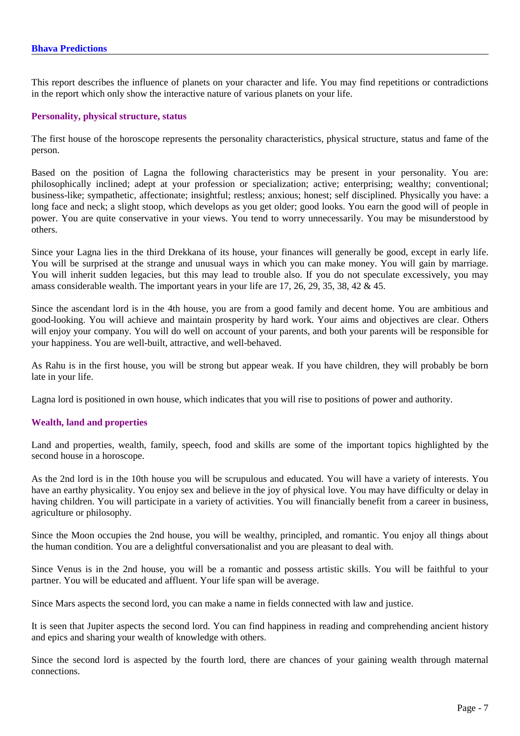This report describes the influence of planets on your character and life. You may find repetitions or contradictions in the report which only show the interactive nature of various planets on your life.

#### **Personality, physical structure, status**

The first house of the horoscope represents the personality characteristics, physical structure, status and fame of the person.

Based on the position of Lagna the following characteristics may be present in your personality. You are: philosophically inclined; adept at your profession or specialization; active; enterprising; wealthy; conventional; business-like; sympathetic, affectionate; insightful; restless; anxious; honest; self disciplined. Physically you have: a long face and neck; a slight stoop, which develops as you get older; good looks. You earn the good will of people in power. You are quite conservative in your views. You tend to worry unnecessarily. You may be misunderstood by others.

Since your Lagna lies in the third Drekkana of its house, your finances will generally be good, except in early life. You will be surprised at the strange and unusual ways in which you can make money. You will gain by marriage. You will inherit sudden legacies, but this may lead to trouble also. If you do not speculate excessively, you may amass considerable wealth. The important years in your life are 17, 26, 29, 35, 38, 42 & 45.

Since the ascendant lord is in the 4th house, you are from a good family and decent home. You are ambitious and good-looking. You will achieve and maintain prosperity by hard work. Your aims and objectives are clear. Others will enjoy your company. You will do well on account of your parents, and both your parents will be responsible for your happiness. You are well-built, attractive, and well-behaved.

As Rahu is in the first house, you will be strong but appear weak. If you have children, they will probably be born late in your life.

Lagna lord is positioned in own house, which indicates that you will rise to positions of power and authority.

# **Wealth, land and properties**

Land and properties, wealth, family, speech, food and skills are some of the important topics highlighted by the second house in a horoscope.

As the 2nd lord is in the 10th house you will be scrupulous and educated. You will have a variety of interests. You have an earthy physicality. You enjoy sex and believe in the joy of physical love. You may have difficulty or delay in having children. You will participate in a variety of activities. You will financially benefit from a career in business, agriculture or philosophy.

Since the Moon occupies the 2nd house, you will be wealthy, principled, and romantic. You enjoy all things about the human condition. You are a delightful conversationalist and you are pleasant to deal with.

Since Venus is in the 2nd house, you will be a romantic and possess artistic skills. You will be faithful to your partner. You will be educated and affluent. Your life span will be average.

Since Mars aspects the second lord, you can make a name in fields connected with law and justice.

It is seen that Jupiter aspects the second lord. You can find happiness in reading and comprehending ancient history and epics and sharing your wealth of knowledge with others.

Since the second lord is aspected by the fourth lord, there are chances of your gaining wealth through maternal connections.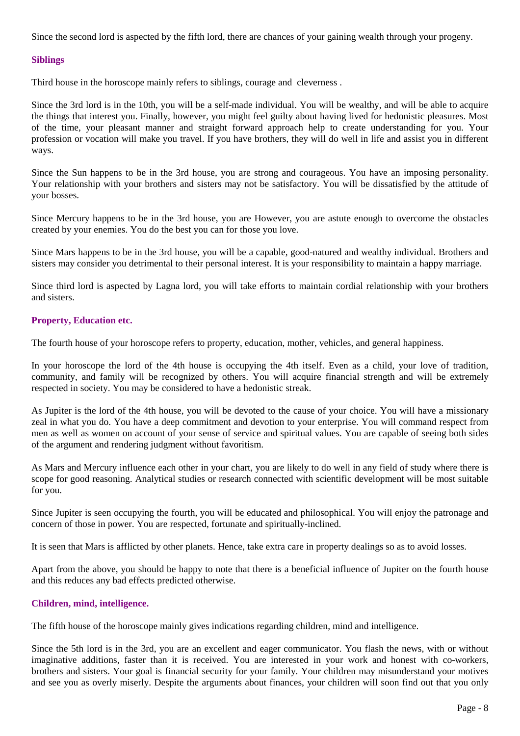Since the second lord is aspected by the fifth lord, there are chances of your gaining wealth through your progeny.

# **Siblings**

Third house in the horoscope mainly refers to siblings, courage and cleverness .

Since the 3rd lord is in the 10th, you will be a self-made individual. You will be wealthy, and will be able to acquire the things that interest you. Finally, however, you might feel guilty about having lived for hedonistic pleasures. Most of the time, your pleasant manner and straight forward approach help to create understanding for you. Your profession or vocation will make you travel. If you have brothers, they will do well in life and assist you in different ways.

Since the Sun happens to be in the 3rd house, you are strong and courageous. You have an imposing personality. Your relationship with your brothers and sisters may not be satisfactory. You will be dissatisfied by the attitude of your bosses.

Since Mercury happens to be in the 3rd house, you are However, you are astute enough to overcome the obstacles created by your enemies. You do the best you can for those you love.

Since Mars happens to be in the 3rd house, you will be a capable, good-natured and wealthy individual. Brothers and sisters may consider you detrimental to their personal interest. It is your responsibility to maintain a happy marriage.

Since third lord is aspected by Lagna lord, you will take efforts to maintain cordial relationship with your brothers and sisters.

# **Property, Education etc.**

The fourth house of your horoscope refers to property, education, mother, vehicles, and general happiness.

In your horoscope the lord of the 4th house is occupying the 4th itself. Even as a child, your love of tradition, community, and family will be recognized by others. You will acquire financial strength and will be extremely respected in society. You may be considered to have a hedonistic streak.

As Jupiter is the lord of the 4th house, you will be devoted to the cause of your choice. You will have a missionary zeal in what you do. You have a deep commitment and devotion to your enterprise. You will command respect from men as well as women on account of your sense of service and spiritual values. You are capable of seeing both sides of the argument and rendering judgment without favoritism.

As Mars and Mercury influence each other in your chart, you are likely to do well in any field of study where there is scope for good reasoning. Analytical studies or research connected with scientific development will be most suitable for you.

Since Jupiter is seen occupying the fourth, you will be educated and philosophical. You will enjoy the patronage and concern of those in power. You are respected, fortunate and spiritually-inclined.

It is seen that Mars is afflicted by other planets. Hence, take extra care in property dealings so as to avoid losses.

Apart from the above, you should be happy to note that there is a beneficial influence of Jupiter on the fourth house and this reduces any bad effects predicted otherwise.

# **Children, mind, intelligence.**

The fifth house of the horoscope mainly gives indications regarding children, mind and intelligence.

Since the 5th lord is in the 3rd, you are an excellent and eager communicator. You flash the news, with or without imaginative additions, faster than it is received. You are interested in your work and honest with co-workers, brothers and sisters. Your goal is financial security for your family. Your children may misunderstand your motives and see you as overly miserly. Despite the arguments about finances, your children will soon find out that you only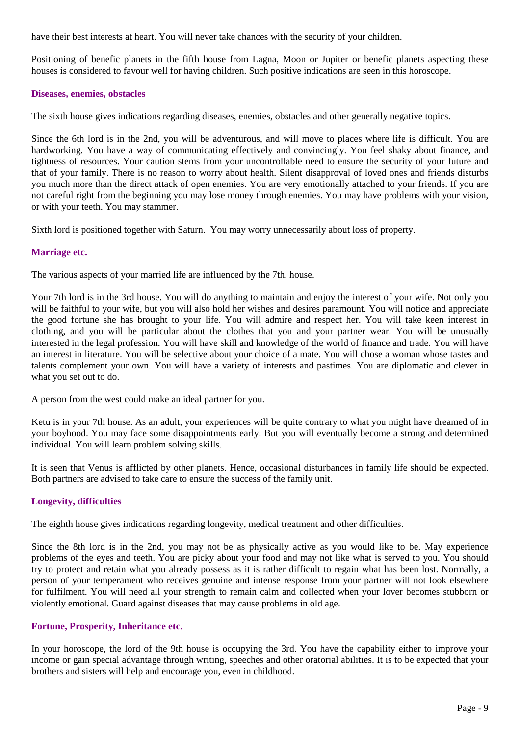have their best interests at heart. You will never take chances with the security of your children.

Positioning of benefic planets in the fifth house from Lagna, Moon or Jupiter or benefic planets aspecting these houses is considered to favour well for having children. Such positive indications are seen in this horoscope.

# **Diseases, enemies, obstacles**

The sixth house gives indications regarding diseases, enemies, obstacles and other generally negative topics.

Since the 6th lord is in the 2nd, you will be adventurous, and will move to places where life is difficult. You are hardworking. You have a way of communicating effectively and convincingly. You feel shaky about finance, and tightness of resources. Your caution stems from your uncontrollable need to ensure the security of your future and that of your family. There is no reason to worry about health. Silent disapproval of loved ones and friends disturbs you much more than the direct attack of open enemies. You are very emotionally attached to your friends. If you are not careful right from the beginning you may lose money through enemies. You may have problems with your vision, or with your teeth. You may stammer.

Sixth lord is positioned together with Saturn. You may worry unnecessarily about loss of property.

# **Marriage etc.**

The various aspects of your married life are influenced by the 7th. house.

Your 7th lord is in the 3rd house. You will do anything to maintain and enjoy the interest of your wife. Not only you will be faithful to your wife, but you will also hold her wishes and desires paramount. You will notice and appreciate the good fortune she has brought to your life. You will admire and respect her. You will take keen interest in clothing, and you will be particular about the clothes that you and your partner wear. You will be unusually interested in the legal profession. You will have skill and knowledge of the world of finance and trade. You will have an interest in literature. You will be selective about your choice of a mate. You will chose a woman whose tastes and talents complement your own. You will have a variety of interests and pastimes. You are diplomatic and clever in what you set out to do.

A person from the west could make an ideal partner for you.

Ketu is in your 7th house. As an adult, your experiences will be quite contrary to what you might have dreamed of in your boyhood. You may face some disappointments early. But you will eventually become a strong and determined individual. You will learn problem solving skills.

It is seen that Venus is afflicted by other planets. Hence, occasional disturbances in family life should be expected. Both partners are advised to take care to ensure the success of the family unit.

# **Longevity, difficulties**

The eighth house gives indications regarding longevity, medical treatment and other difficulties.

Since the 8th lord is in the 2nd, you may not be as physically active as you would like to be. May experience problems of the eyes and teeth. You are picky about your food and may not like what is served to you. You should try to protect and retain what you already possess as it is rather difficult to regain what has been lost. Normally, a person of your temperament who receives genuine and intense response from your partner will not look elsewhere for fulfilment. You will need all your strength to remain calm and collected when your lover becomes stubborn or violently emotional. Guard against diseases that may cause problems in old age.

# **Fortune, Prosperity, Inheritance etc.**

In your horoscope, the lord of the 9th house is occupying the 3rd. You have the capability either to improve your income or gain special advantage through writing, speeches and other oratorial abilities. It is to be expected that your brothers and sisters will help and encourage you, even in childhood.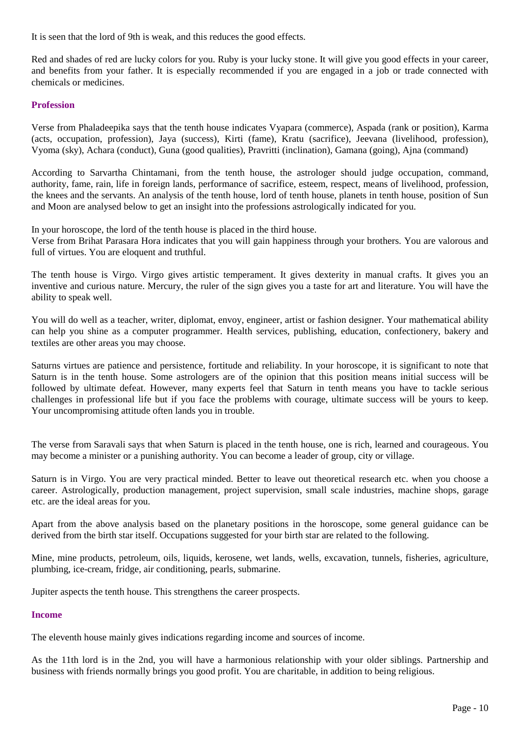It is seen that the lord of 9th is weak, and this reduces the good effects.

Red and shades of red are lucky colors for you. Ruby is your lucky stone. It will give you good effects in your career, and benefits from your father. It is especially recommended if you are engaged in a job or trade connected with chemicals or medicines.

# **Profession**

Verse from Phaladeepika says that the tenth house indicates Vyapara (commerce), Aspada (rank or position), Karma (acts, occupation, profession), Jaya (success), Kirti (fame), Kratu (sacrifice), Jeevana (livelihood, profession), Vyoma (sky), Achara (conduct), Guna (good qualities), Pravritti (inclination), Gamana (going), Ajna (command)

According to Sarvartha Chintamani, from the tenth house, the astrologer should judge occupation, command, authority, fame, rain, life in foreign lands, performance of sacrifice, esteem, respect, means of livelihood, profession, the knees and the servants. An analysis of the tenth house, lord of tenth house, planets in tenth house, position of Sun and Moon are analysed below to get an insight into the professions astrologically indicated for you.

In your horoscope, the lord of the tenth house is placed in the third house. Verse from Brihat Parasara Hora indicates that you will gain happiness through your brothers. You are valorous and full of virtues. You are eloquent and truthful.

The tenth house is Virgo. Virgo gives artistic temperament. It gives dexterity in manual crafts. It gives you an inventive and curious nature. Mercury, the ruler of the sign gives you a taste for art and literature. You will have the ability to speak well.

You will do well as a teacher, writer, diplomat, envoy, engineer, artist or fashion designer. Your mathematical ability can help you shine as a computer programmer. Health services, publishing, education, confectionery, bakery and textiles are other areas you may choose.

Saturns virtues are patience and persistence, fortitude and reliability. In your horoscope, it is significant to note that Saturn is in the tenth house. Some astrologers are of the opinion that this position means initial success will be followed by ultimate defeat. However, many experts feel that Saturn in tenth means you have to tackle serious challenges in professional life but if you face the problems with courage, ultimate success will be yours to keep. Your uncompromising attitude often lands you in trouble.

The verse from Saravali says that when Saturn is placed in the tenth house, one is rich, learned and courageous. You may become a minister or a punishing authority. You can become a leader of group, city or village.

Saturn is in Virgo. You are very practical minded. Better to leave out theoretical research etc. when you choose a career. Astrologically, production management, project supervision, small scale industries, machine shops, garage etc. are the ideal areas for you.

Apart from the above analysis based on the planetary positions in the horoscope, some general guidance can be derived from the birth star itself. Occupations suggested for your birth star are related to the following.

Mine, mine products, petroleum, oils, liquids, kerosene, wet lands, wells, excavation, tunnels, fisheries, agriculture, plumbing, ice-cream, fridge, air conditioning, pearls, submarine.

Jupiter aspects the tenth house. This strengthens the career prospects.

# **Income**

The eleventh house mainly gives indications regarding income and sources of income.

As the 11th lord is in the 2nd, you will have a harmonious relationship with your older siblings. Partnership and business with friends normally brings you good profit. You are charitable, in addition to being religious.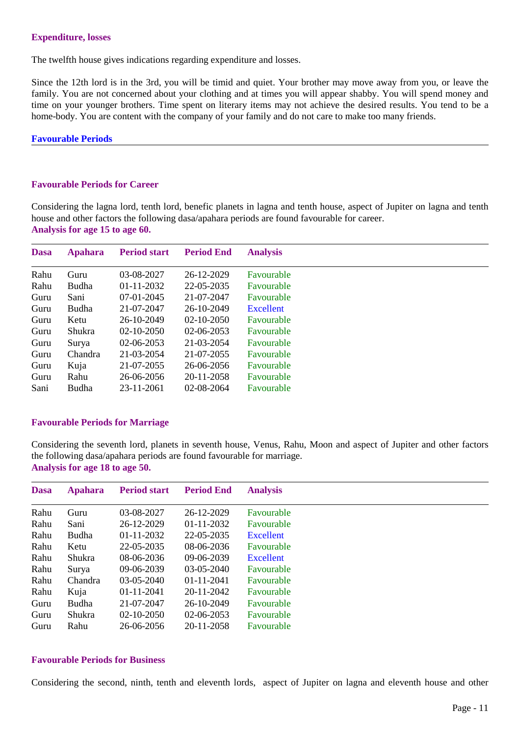# **Expenditure, losses**

The twelfth house gives indications regarding expenditure and losses.

Since the 12th lord is in the 3rd, you will be timid and quiet. Your brother may move away from you, or leave the family. You are not concerned about your clothing and at times you will appear shabby. You will spend money and time on your younger brothers. Time spent on literary items may not achieve the desired results. You tend to be a home-body. You are content with the company of your family and do not care to make too many friends.

#### **Favourable Periods**

# **Favourable Periods for Career**

Considering the lagna lord, tenth lord, benefic planets in lagna and tenth house, aspect of Jupiter on lagna and tenth house and other factors the following dasa/apahara periods are found favourable for career. **Analysis for age 15 to age 60.**

| <b>Dasa</b> | <b>Apahara</b> | <b>Period start</b> | <b>Period End</b> | <b>Analysis</b> |
|-------------|----------------|---------------------|-------------------|-----------------|
| Rahu        | Guru           | 03-08-2027          | 26-12-2029        | Favourable      |
| Rahu        | <b>Budha</b>   | $01 - 11 - 2032$    | 22-05-2035        | Favourable      |
| Guru        | Sani           | $07-01-2045$        | 21-07-2047        | Favourable      |
| Guru        | <b>Budha</b>   | 21-07-2047          | 26-10-2049        | Excellent       |
| Guru        | Ketu           | 26-10-2049          | $02 - 10 - 2050$  | Favourable      |
| Guru        | Shukra         | $02 - 10 - 2050$    | $02-06-2053$      | Favourable      |
| Guru        | Surya          | $02-06-2053$        | 21-03-2054        | Favourable      |
| Guru        | Chandra        | 21-03-2054          | 21-07-2055        | Favourable      |
| Guru        | Kuja           | 21-07-2055          | 26-06-2056        | Favourable      |
| Guru        | Rahu           | 26-06-2056          | 20-11-2058        | Favourable      |
| Sani        | Budha          | 23-11-2061          | $02 - 08 - 2064$  | Favourable      |

# **Favourable Periods for Marriage**

Considering the seventh lord, planets in seventh house, Venus, Rahu, Moon and aspect of Jupiter and other factors the following dasa/apahara periods are found favourable for marriage. **Analysis for age 18 to age 50.**

| <b>Dasa</b> | <b>Apahara</b> | <b>Period start</b> | <b>Period End</b> | <b>Analysis</b> |
|-------------|----------------|---------------------|-------------------|-----------------|
| Rahu        | Guru           | 03-08-2027          | 26-12-2029        | Favourable      |
| Rahu        | Sani           | 26-12-2029          | 01-11-2032        | Favourable      |
| Rahu        | <b>Budha</b>   | 01-11-2032          | 22-05-2035        | Excellent       |
| Rahu        | Ketu           | 22-05-2035          | $08-06-2036$      | Favourable      |
| Rahu        | Shukra         | $08-06-2036$        | $09-06-2039$      | Excellent       |
| Rahu        | Surya          | 09-06-2039          | 03-05-2040        | Favourable      |
| Rahu        | Chandra        | $03-05-2040$        | $01 - 11 - 2041$  | Favourable      |
| Rahu        | Kuja           | 01-11-2041          | 20-11-2042        | Favourable      |
| Guru        | <b>Budha</b>   | 21-07-2047          | 26-10-2049        | Favourable      |
| Guru        | Shukra         | $02 - 10 - 2050$    | 02-06-2053        | Favourable      |
| Guru        | Rahu           | 26-06-2056          | 20-11-2058        | Favourable      |

# **Favourable Periods for Business**

Considering the second, ninth, tenth and eleventh lords, aspect of Jupiter on lagna and eleventh house and other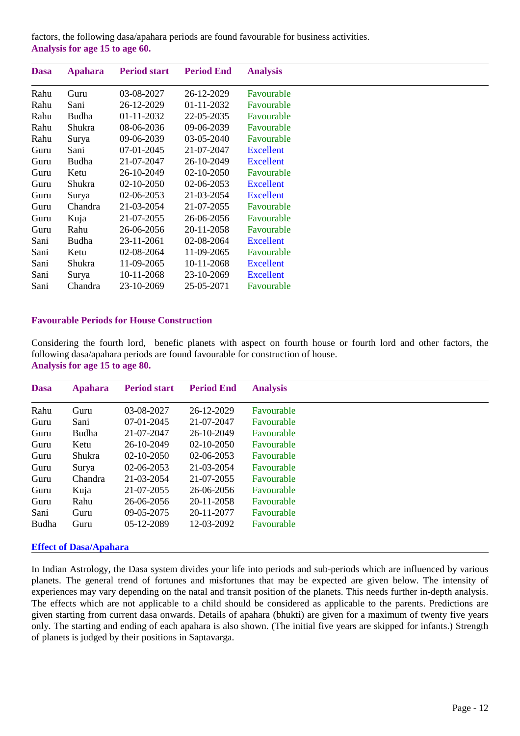factors, the following dasa/apahara periods are found favourable for business activities. **Analysis for age 15 to age 60.**

| <b>Dasa</b> | <b>Apahara</b> | <b>Period start</b> | <b>Period End</b> | <b>Analysis</b>  |  |
|-------------|----------------|---------------------|-------------------|------------------|--|
| Rahu        | Guru           | 03-08-2027          | 26-12-2029        | Favourable       |  |
| Rahu        | Sani           | 26-12-2029          | 01-11-2032        | Favourable       |  |
| Rahu        | Budha          | $01-11-2032$        | 22-05-2035        | Favourable       |  |
| Rahu        | Shukra         | 08-06-2036          | 09-06-2039        | Favourable       |  |
| Rahu        | Surya          | 09-06-2039          | 03-05-2040        | Favourable       |  |
| Guru        | Sani           | 07-01-2045          | 21-07-2047        | <b>Excellent</b> |  |
| Guru        | Budha          | 21-07-2047          | 26-10-2049        | <b>Excellent</b> |  |
| Guru        | Ketu           | 26-10-2049          | 02-10-2050        | Favourable       |  |
| Guru        | Shukra         | $02 - 10 - 2050$    | 02-06-2053        | <b>Excellent</b> |  |
| Guru        | Surya          | 02-06-2053          | 21-03-2054        | Excellent        |  |
| Guru        | Chandra        | 21-03-2054          | 21-07-2055        | Favourable       |  |
| Guru        | Kuja           | 21-07-2055          | 26-06-2056        | Favourable       |  |
| Guru        | Rahu           | 26-06-2056          | 20-11-2058        | Favourable       |  |
| Sani        | <b>Budha</b>   | 23-11-2061          | 02-08-2064        | <b>Excellent</b> |  |
| Sani        | Ketu           | 02-08-2064          | 11-09-2065        | Favourable       |  |
| Sani        | Shukra         | 11-09-2065          | 10-11-2068        | <b>Excellent</b> |  |
| Sani        | Surya          | 10-11-2068          | 23-10-2069        | Excellent        |  |
| Sani        | Chandra        | 23-10-2069          | 25-05-2071        | Favourable       |  |

# **Favourable Periods for House Construction**

Considering the fourth lord, benefic planets with aspect on fourth house or fourth lord and other factors, the following dasa/apahara periods are found favourable for construction of house. **Analysis for age 15 to age 80.**

| <b>Dasa</b>  | <b>Apahara</b> | <b>Period start</b> | <b>Period End</b> | <b>Analysis</b> |
|--------------|----------------|---------------------|-------------------|-----------------|
| Rahu         | Guru           | 03-08-2027          | 26-12-2029        | Favourable      |
| Guru         | Sani           | $07-01-2045$        | 21-07-2047        | Favourable      |
| Guru         | Budha          | 21-07-2047          | 26-10-2049        | Favourable      |
| Guru         | Ketu           | 26-10-2049          | $02 - 10 - 2050$  | Favourable      |
| Guru         | Shukra         | $02 - 10 - 2050$    | $02-06-2053$      | Favourable      |
| Guru         | Surya          | $02-06-2053$        | 21-03-2054        | Favourable      |
| Guru         | Chandra        | 21-03-2054          | 21-07-2055        | Favourable      |
| Guru         | Kuja           | 21-07-2055          | 26-06-2056        | Favourable      |
| Guru         | Rahu           | 26-06-2056          | 20-11-2058        | Favourable      |
| Sani         | Guru           | $09 - 05 - 2075$    | 20-11-2077        | Favourable      |
| <b>Budha</b> | Guru           | 05-12-2089          | 12-03-2092        | Favourable      |

#### **Effect of Dasa/Apahara**

In Indian Astrology, the Dasa system divides your life into periods and sub-periods which are influenced by various planets. The general trend of fortunes and misfortunes that may be expected are given below. The intensity of experiences may vary depending on the natal and transit position of the planets. This needs further in-depth analysis. The effects which are not applicable to a child should be considered as applicable to the parents. Predictions are given starting from current dasa onwards. Details of apahara (bhukti) are given for a maximum of twenty five years only. The starting and ending of each apahara is also shown. (The initial five years are skipped for infants.) Strength of planets is judged by their positions in Saptavarga.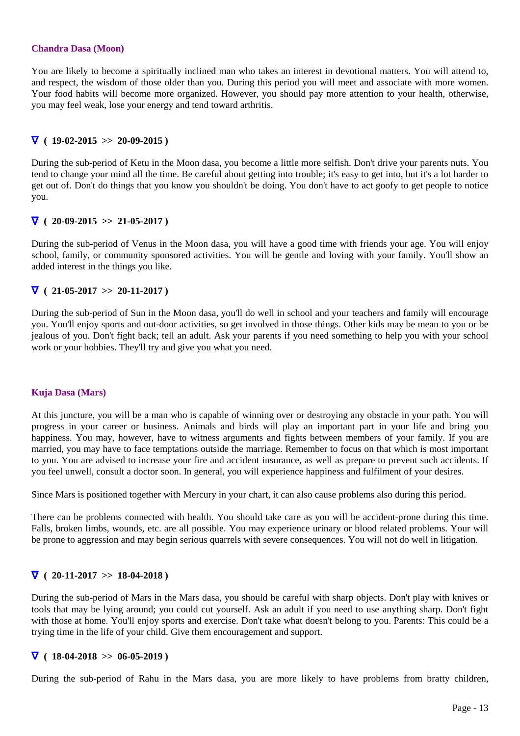#### **Chandra Dasa (Moon)**

You are likely to become a spiritually inclined man who takes an interest in devotional matters. You will attend to, and respect, the wisdom of those older than you. During this period you will meet and associate with more women. Your food habits will become more organized. However, you should pay more attention to your health, otherwise, you may feel weak, lose your energy and tend toward arthritis.

# $\nabla$  ( 19-02-2015 >> 20-09-2015 )

During the sub-period of Ketu in the Moon dasa, you become a little more selfish. Don't drive your parents nuts. You tend to change your mind all the time. Be careful about getting into trouble; it's easy to get into, but it's a lot harder to get out of. Don't do things that you know you shouldn't be doing. You don't have to act goofy to get people to notice you.

# $\nabla$  ( 20-09-2015 >> 21-05-2017)

During the sub-period of Venus in the Moon dasa, you will have a good time with friends your age. You will enjoy school, family, or community sponsored activities. You will be gentle and loving with your family. You'll show an added interest in the things you like.

# $\nabla$  ( 21-05-2017 >> 20-11-2017 )

During the sub-period of Sun in the Moon dasa, you'll do well in school and your teachers and family will encourage you. You'll enjoy sports and out-door activities, so get involved in those things. Other kids may be mean to you or be jealous of you. Don't fight back; tell an adult. Ask your parents if you need something to help you with your school work or your hobbies. They'll try and give you what you need.

# **Kuja Dasa (Mars)**

At this juncture, you will be a man who is capable of winning over or destroying any obstacle in your path. You will progress in your career or business. Animals and birds will play an important part in your life and bring you happiness. You may, however, have to witness arguments and fights between members of your family. If you are married, you may have to face temptations outside the marriage. Remember to focus on that which is most important to you. You are advised to increase your fire and accident insurance, as well as prepare to prevent such accidents. If you feel unwell, consult a doctor soon. In general, you will experience happiness and fulfilment of your desires.

Since Mars is positioned together with Mercury in your chart, it can also cause problems also during this period.

There can be problems connected with health. You should take care as you will be accident-prone during this time. Falls, broken limbs, wounds, etc. are all possible. You may experience urinary or blood related problems. Your will be prone to aggression and may begin serious quarrels with severe consequences. You will not do well in litigation.

# $\nabla$  ( 20-11-2017 >> 18-04-2018 )

During the sub-period of Mars in the Mars dasa, you should be careful with sharp objects. Don't play with knives or tools that may be lying around; you could cut yourself. Ask an adult if you need to use anything sharp. Don't fight with those at home. You'll enjoy sports and exercise. Don't take what doesn't belong to you. Parents: This could be a trying time in the life of your child. Give them encouragement and support.

# $\nabla$  ( 18-04-2018 >> 06-05-2019)

During the sub-period of Rahu in the Mars dasa, you are more likely to have problems from bratty children,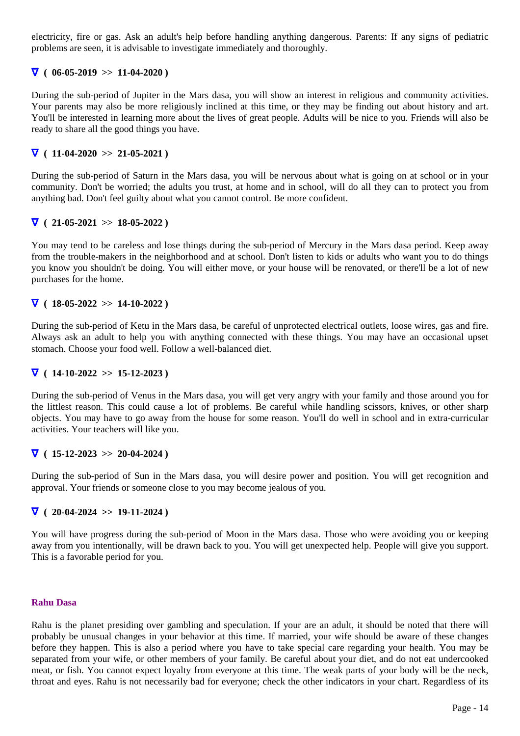electricity, fire or gas. Ask an adult's help before handling anything dangerous. Parents: If any signs of pediatric problems are seen, it is advisable to investigate immediately and thoroughly.

# $\nabla (06-05-2019 >> 11-04-2020)$

During the sub-period of Jupiter in the Mars dasa, you will show an interest in religious and community activities. Your parents may also be more religiously inclined at this time, or they may be finding out about history and art. You'll be interested in learning more about the lives of great people. Adults will be nice to you. Friends will also be ready to share all the good things you have.

# $\nabla$  ( 11-04-2020 >> 21-05-2021)

During the sub-period of Saturn in the Mars dasa, you will be nervous about what is going on at school or in your community. Don't be worried; the adults you trust, at home and in school, will do all they can to protect you from anything bad. Don't feel guilty about what you cannot control. Be more confident.

# ∇ **( 21-05-2021 >> 18-05-2022 )**

You may tend to be careless and lose things during the sub-period of Mercury in the Mars dasa period. Keep away from the trouble-makers in the neighborhood and at school. Don't listen to kids or adults who want you to do things you know you shouldn't be doing. You will either move, or your house will be renovated, or there'll be a lot of new purchases for the home.

# $\nabla$  ( 18-05-2022 >> 14-10-2022 )

During the sub-period of Ketu in the Mars dasa, be careful of unprotected electrical outlets, loose wires, gas and fire. Always ask an adult to help you with anything connected with these things. You may have an occasional upset stomach. Choose your food well. Follow a well-balanced diet.

# ∇ **( 14-10-2022 >> 15-12-2023 )**

During the sub-period of Venus in the Mars dasa, you will get very angry with your family and those around you for the littlest reason. This could cause a lot of problems. Be careful while handling scissors, knives, or other sharp objects. You may have to go away from the house for some reason. You'll do well in school and in extra-curricular activities. Your teachers will like you.

# $\nabla$  ( 15-12-2023 >> 20-04-2024)

During the sub-period of Sun in the Mars dasa, you will desire power and position. You will get recognition and approval. Your friends or someone close to you may become jealous of you.

# ∇ **( 20-04-2024 >> 19-11-2024 )**

You will have progress during the sub-period of Moon in the Mars dasa. Those who were avoiding you or keeping away from you intentionally, will be drawn back to you. You will get unexpected help. People will give you support. This is a favorable period for you.

#### **Rahu Dasa**

Rahu is the planet presiding over gambling and speculation. If your are an adult, it should be noted that there will probably be unusual changes in your behavior at this time. If married, your wife should be aware of these changes before they happen. This is also a period where you have to take special care regarding your health. You may be separated from your wife, or other members of your family. Be careful about your diet, and do not eat undercooked meat, or fish. You cannot expect loyalty from everyone at this time. The weak parts of your body will be the neck, throat and eyes. Rahu is not necessarily bad for everyone; check the other indicators in your chart. Regardless of its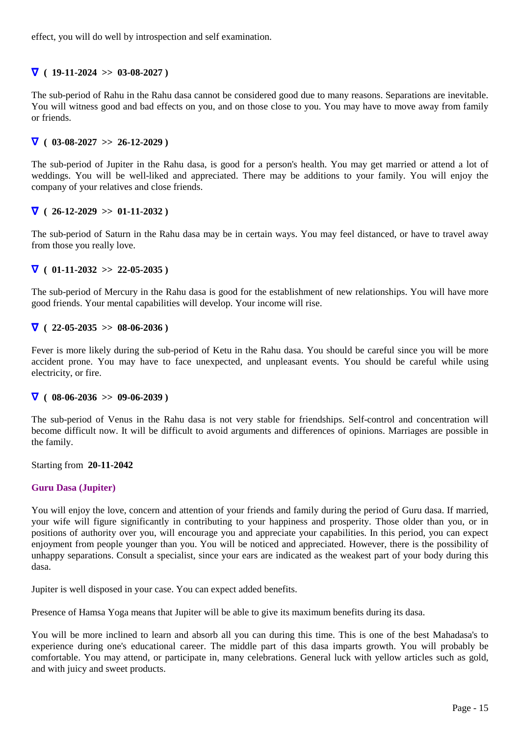effect, you will do well by introspection and self examination.

# $\nabla$  ( 19-11-2024 >> 03-08-2027)

The sub-period of Rahu in the Rahu dasa cannot be considered good due to many reasons. Separations are inevitable. You will witness good and bad effects on you, and on those close to you. You may have to move away from family or friends.

# $\nabla$  ( 03-08-2027 >> 26-12-2029 )

The sub-period of Jupiter in the Rahu dasa, is good for a person's health. You may get married or attend a lot of weddings. You will be well-liked and appreciated. There may be additions to your family. You will enjoy the company of your relatives and close friends.

# $\nabla$  ( 26-12-2029 >> 01-11-2032 )

The sub-period of Saturn in the Rahu dasa may be in certain ways. You may feel distanced, or have to travel away from those you really love.

# $\nabla$  ( 01-11-2032 >> 22-05-2035)

The sub-period of Mercury in the Rahu dasa is good for the establishment of new relationships. You will have more good friends. Your mental capabilities will develop. Your income will rise.

# $\nabla$  ( 22-05-2035 >> 08-06-2036 )

Fever is more likely during the sub-period of Ketu in the Rahu dasa. You should be careful since you will be more accident prone. You may have to face unexpected, and unpleasant events. You should be careful while using electricity, or fire.

# $\nabla (08-06-2036 >> 09-06-2039)$

The sub-period of Venus in the Rahu dasa is not very stable for friendships. Self-control and concentration will become difficult now. It will be difficult to avoid arguments and differences of opinions. Marriages are possible in the family.

Starting from **20-11-2042**

# **Guru Dasa (Jupiter)**

You will enjoy the love, concern and attention of your friends and family during the period of Guru dasa. If married, your wife will figure significantly in contributing to your happiness and prosperity. Those older than you, or in positions of authority over you, will encourage you and appreciate your capabilities. In this period, you can expect enjoyment from people younger than you. You will be noticed and appreciated. However, there is the possibility of unhappy separations. Consult a specialist, since your ears are indicated as the weakest part of your body during this dasa.

Jupiter is well disposed in your case. You can expect added benefits.

Presence of Hamsa Yoga means that Jupiter will be able to give its maximum benefits during its dasa.

You will be more inclined to learn and absorb all you can during this time. This is one of the best Mahadasa's to experience during one's educational career. The middle part of this dasa imparts growth. You will probably be comfortable. You may attend, or participate in, many celebrations. General luck with yellow articles such as gold, and with juicy and sweet products.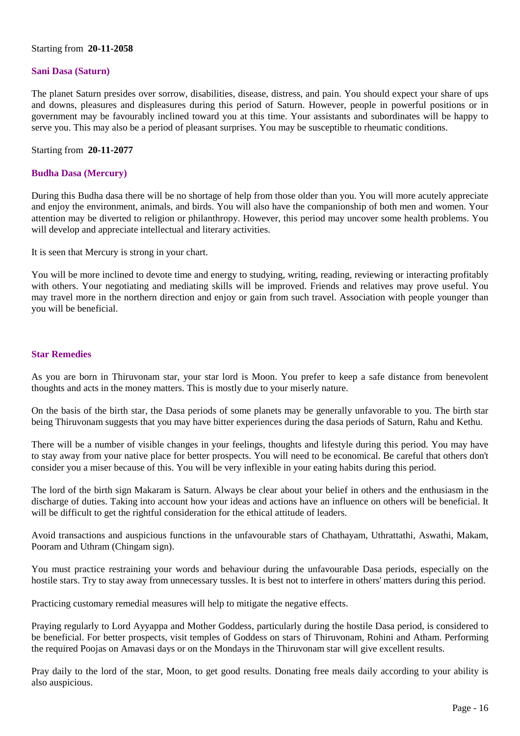# Starting from **20-11-2058**

# **Sani Dasa (Saturn)**

The planet Saturn presides over sorrow, disabilities, disease, distress, and pain. You should expect your share of ups and downs, pleasures and displeasures during this period of Saturn. However, people in powerful positions or in government may be favourably inclined toward you at this time. Your assistants and subordinates will be happy to serve you. This may also be a period of pleasant surprises. You may be susceptible to rheumatic conditions.

Starting from **20-11-2077**

# **Budha Dasa (Mercury)**

During this Budha dasa there will be no shortage of help from those older than you. You will more acutely appreciate and enjoy the environment, animals, and birds. You will also have the companionship of both men and women. Your attention may be diverted to religion or philanthropy. However, this period may uncover some health problems. You will develop and appreciate intellectual and literary activities.

It is seen that Mercury is strong in your chart.

You will be more inclined to devote time and energy to studying, writing, reading, reviewing or interacting profitably with others. Your negotiating and mediating skills will be improved. Friends and relatives may prove useful. You may travel more in the northern direction and enjoy or gain from such travel. Association with people younger than you will be beneficial.

# **Star Remedies**

As you are born in Thiruvonam star, your star lord is Moon. You prefer to keep a safe distance from benevolent thoughts and acts in the money matters. This is mostly due to your miserly nature.

On the basis of the birth star, the Dasa periods of some planets may be generally unfavorable to you. The birth star being Thiruvonam suggests that you may have bitter experiences during the dasa periods of Saturn, Rahu and Kethu.

There will be a number of visible changes in your feelings, thoughts and lifestyle during this period. You may have to stay away from your native place for better prospects. You will need to be economical. Be careful that others don't consider you a miser because of this. You will be very inflexible in your eating habits during this period.

The lord of the birth sign Makaram is Saturn. Always be clear about your belief in others and the enthusiasm in the discharge of duties. Taking into account how your ideas and actions have an influence on others will be beneficial. It will be difficult to get the rightful consideration for the ethical attitude of leaders.

Avoid transactions and auspicious functions in the unfavourable stars of Chathayam, Uthrattathi, Aswathi, Makam, Pooram and Uthram (Chingam sign).

You must practice restraining your words and behaviour during the unfavourable Dasa periods, especially on the hostile stars. Try to stay away from unnecessary tussles. It is best not to interfere in others' matters during this period.

Practicing customary remedial measures will help to mitigate the negative effects.

Praying regularly to Lord Ayyappa and Mother Goddess, particularly during the hostile Dasa period, is considered to be beneficial. For better prospects, visit temples of Goddess on stars of Thiruvonam, Rohini and Atham. Performing the required Poojas on Amavasi days or on the Mondays in the Thiruvonam star will give excellent results.

Pray daily to the lord of the star, Moon, to get good results. Donating free meals daily according to your ability is also auspicious.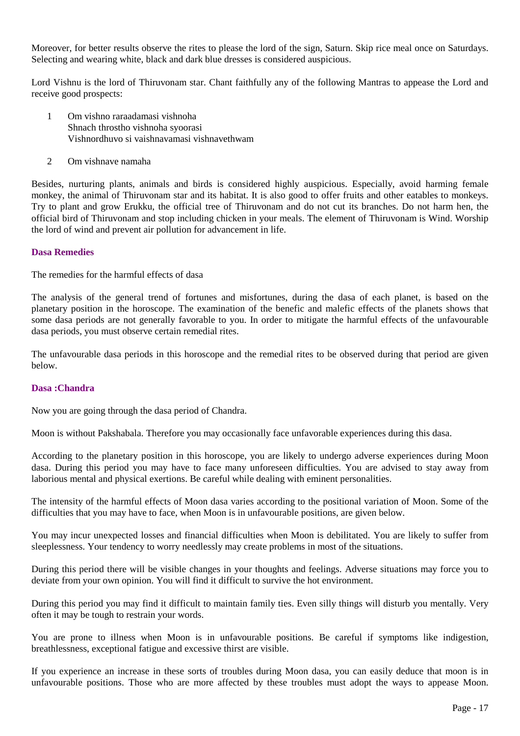Moreover, for better results observe the rites to please the lord of the sign, Saturn. Skip rice meal once on Saturdays. Selecting and wearing white, black and dark blue dresses is considered auspicious.

Lord Vishnu is the lord of Thiruvonam star. Chant faithfully any of the following Mantras to appease the Lord and receive good prospects:

- 1 Om vishno raraadamasi vishnoha Shnach throstho vishnoha syoorasi Vishnordhuvo si vaishnavamasi vishnavethwam
- 2 Om vishnave namaha

Besides, nurturing plants, animals and birds is considered highly auspicious. Especially, avoid harming female monkey, the animal of Thiruvonam star and its habitat. It is also good to offer fruits and other eatables to monkeys. Try to plant and grow Erukku, the official tree of Thiruvonam and do not cut its branches. Do not harm hen, the official bird of Thiruvonam and stop including chicken in your meals. The element of Thiruvonam is Wind. Worship the lord of wind and prevent air pollution for advancement in life.

# **Dasa Remedies**

The remedies for the harmful effects of dasa

The analysis of the general trend of fortunes and misfortunes, during the dasa of each planet, is based on the planetary position in the horoscope. The examination of the benefic and malefic effects of the planets shows that some dasa periods are not generally favorable to you. In order to mitigate the harmful effects of the unfavourable dasa periods, you must observe certain remedial rites.

The unfavourable dasa periods in this horoscope and the remedial rites to be observed during that period are given below.

# **Dasa :Chandra**

Now you are going through the dasa period of Chandra.

Moon is without Pakshabala. Therefore you may occasionally face unfavorable experiences during this dasa.

According to the planetary position in this horoscope, you are likely to undergo adverse experiences during Moon dasa. During this period you may have to face many unforeseen difficulties. You are advised to stay away from laborious mental and physical exertions. Be careful while dealing with eminent personalities.

The intensity of the harmful effects of Moon dasa varies according to the positional variation of Moon. Some of the difficulties that you may have to face, when Moon is in unfavourable positions, are given below.

You may incur unexpected losses and financial difficulties when Moon is debilitated. You are likely to suffer from sleeplessness. Your tendency to worry needlessly may create problems in most of the situations.

During this period there will be visible changes in your thoughts and feelings. Adverse situations may force you to deviate from your own opinion. You will find it difficult to survive the hot environment.

During this period you may find it difficult to maintain family ties. Even silly things will disturb you mentally. Very often it may be tough to restrain your words.

You are prone to illness when Moon is in unfavourable positions. Be careful if symptoms like indigestion, breathlessness, exceptional fatigue and excessive thirst are visible.

If you experience an increase in these sorts of troubles during Moon dasa, you can easily deduce that moon is in unfavourable positions. Those who are more affected by these troubles must adopt the ways to appease Moon.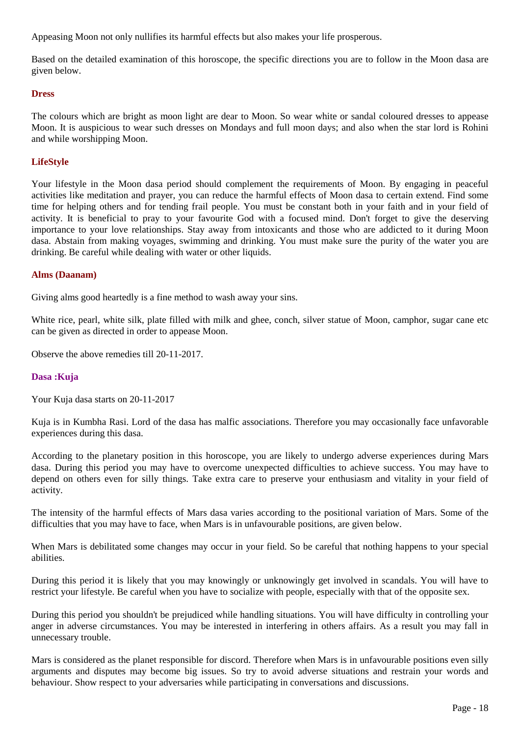Appeasing Moon not only nullifies its harmful effects but also makes your life prosperous.

Based on the detailed examination of this horoscope, the specific directions you are to follow in the Moon dasa are given below.

# **Dress**

The colours which are bright as moon light are dear to Moon. So wear white or sandal coloured dresses to appease Moon. It is auspicious to wear such dresses on Mondays and full moon days; and also when the star lord is Rohini and while worshipping Moon.

# **LifeStyle**

Your lifestyle in the Moon dasa period should complement the requirements of Moon. By engaging in peaceful activities like meditation and prayer, you can reduce the harmful effects of Moon dasa to certain extend. Find some time for helping others and for tending frail people. You must be constant both in your faith and in your field of activity. It is beneficial to pray to your favourite God with a focused mind. Don't forget to give the deserving importance to your love relationships. Stay away from intoxicants and those who are addicted to it during Moon dasa. Abstain from making voyages, swimming and drinking. You must make sure the purity of the water you are drinking. Be careful while dealing with water or other liquids.

# **Alms (Daanam)**

Giving alms good heartedly is a fine method to wash away your sins.

White rice, pearl, white silk, plate filled with milk and ghee, conch, silver statue of Moon, camphor, sugar cane etc can be given as directed in order to appease Moon.

Observe the above remedies till 20-11-2017.

# **Dasa :Kuja**

Your Kuja dasa starts on 20-11-2017

Kuja is in Kumbha Rasi. Lord of the dasa has malfic associations. Therefore you may occasionally face unfavorable experiences during this dasa.

According to the planetary position in this horoscope, you are likely to undergo adverse experiences during Mars dasa. During this period you may have to overcome unexpected difficulties to achieve success. You may have to depend on others even for silly things. Take extra care to preserve your enthusiasm and vitality in your field of activity.

The intensity of the harmful effects of Mars dasa varies according to the positional variation of Mars. Some of the difficulties that you may have to face, when Mars is in unfavourable positions, are given below.

When Mars is debilitated some changes may occur in your field. So be careful that nothing happens to your special abilities.

During this period it is likely that you may knowingly or unknowingly get involved in scandals. You will have to restrict your lifestyle. Be careful when you have to socialize with people, especially with that of the opposite sex.

During this period you shouldn't be prejudiced while handling situations. You will have difficulty in controlling your anger in adverse circumstances. You may be interested in interfering in others affairs. As a result you may fall in unnecessary trouble.

Mars is considered as the planet responsible for discord. Therefore when Mars is in unfavourable positions even silly arguments and disputes may become big issues. So try to avoid adverse situations and restrain your words and behaviour. Show respect to your adversaries while participating in conversations and discussions.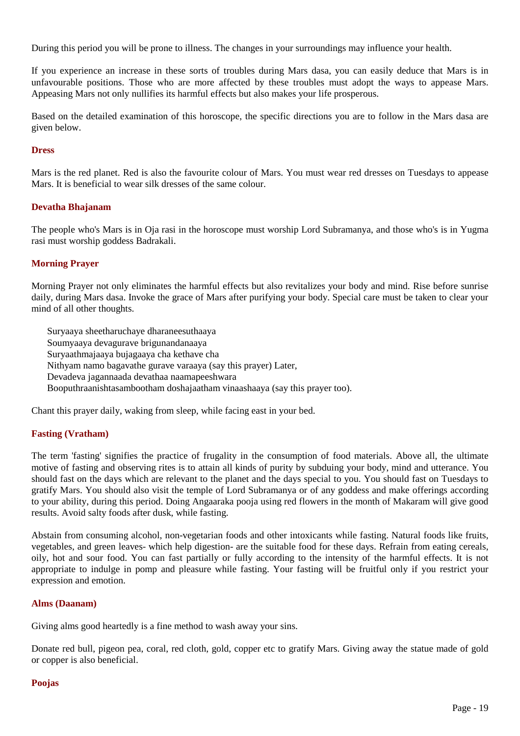During this period you will be prone to illness. The changes in your surroundings may influence your health.

If you experience an increase in these sorts of troubles during Mars dasa, you can easily deduce that Mars is in unfavourable positions. Those who are more affected by these troubles must adopt the ways to appease Mars. Appeasing Mars not only nullifies its harmful effects but also makes your life prosperous.

Based on the detailed examination of this horoscope, the specific directions you are to follow in the Mars dasa are given below.

# **Dress**

Mars is the red planet. Red is also the favourite colour of Mars. You must wear red dresses on Tuesdays to appease Mars. It is beneficial to wear silk dresses of the same colour.

# **Devatha Bhajanam**

The people who's Mars is in Oja rasi in the horoscope must worship Lord Subramanya, and those who's is in Yugma rasi must worship goddess Badrakali.

# **Morning Prayer**

Morning Prayer not only eliminates the harmful effects but also revitalizes your body and mind. Rise before sunrise daily, during Mars dasa. Invoke the grace of Mars after purifying your body. Special care must be taken to clear your mind of all other thoughts.

Suryaaya sheetharuchaye dharaneesuthaaya Soumyaaya devagurave brigunandanaaya Suryaathmajaaya bujagaaya cha kethave cha Nithyam namo bagavathe gurave varaaya (say this prayer) Later, Devadeva jagannaada devathaa naamapeeshwara Booputhraanishtasambootham doshajaatham vinaashaaya (say this prayer too).

Chant this prayer daily, waking from sleep, while facing east in your bed.

# **Fasting (Vratham)**

The term 'fasting' signifies the practice of frugality in the consumption of food materials. Above all, the ultimate motive of fasting and observing rites is to attain all kinds of purity by subduing your body, mind and utterance. You should fast on the days which are relevant to the planet and the days special to you. You should fast on Tuesdays to gratify Mars. You should also visit the temple of Lord Subramanya or of any goddess and make offerings according to your ability, during this period. Doing Angaaraka pooja using red flowers in the month of Makaram will give good results. Avoid salty foods after dusk, while fasting.

Abstain from consuming alcohol, non-vegetarian foods and other intoxicants while fasting. Natural foods like fruits, vegetables, and green leaves- which help digestion- are the suitable food for these days. Refrain from eating cereals, oily, hot and sour food. You can fast partially or fully according to the intensity of the harmful effects. It is not appropriate to indulge in pomp and pleasure while fasting. Your fasting will be fruitful only if you restrict your expression and emotion.

# **Alms (Daanam)**

Giving alms good heartedly is a fine method to wash away your sins.

Donate red bull, pigeon pea, coral, red cloth, gold, copper etc to gratify Mars. Giving away the statue made of gold or copper is also beneficial.

# **Poojas**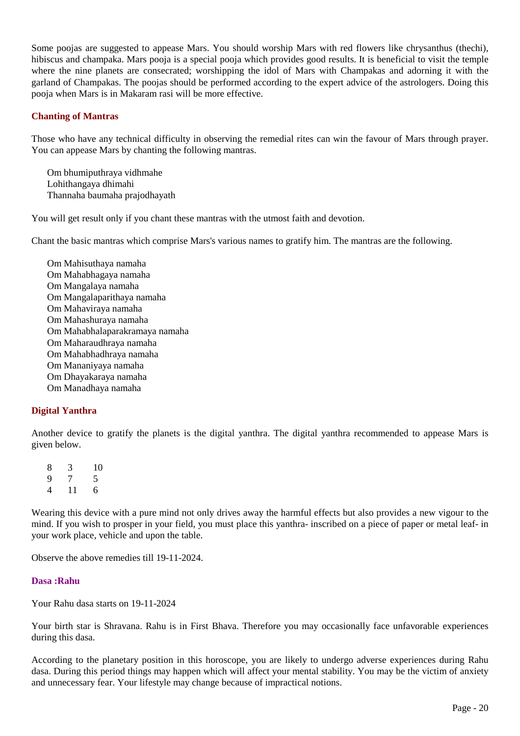Some poojas are suggested to appease Mars. You should worship Mars with red flowers like chrysanthus (thechi), hibiscus and champaka. Mars pooja is a special pooja which provides good results. It is beneficial to visit the temple where the nine planets are consecrated; worshipping the idol of Mars with Champakas and adorning it with the garland of Champakas. The poojas should be performed according to the expert advice of the astrologers. Doing this pooja when Mars is in Makaram rasi will be more effective.

# **Chanting of Mantras**

Those who have any technical difficulty in observing the remedial rites can win the favour of Mars through prayer. You can appease Mars by chanting the following mantras.

Om bhumiputhraya vidhmahe Lohithangaya dhimahi Thannaha baumaha prajodhayath

You will get result only if you chant these mantras with the utmost faith and devotion.

Chant the basic mantras which comprise Mars's various names to gratify him. The mantras are the following.

Om Mahisuthaya namaha Om Mahabhagaya namaha Om Mangalaya namaha Om Mangalaparithaya namaha Om Mahaviraya namaha Om Mahashuraya namaha Om Mahabhalaparakramaya namaha Om Maharaudhraya namaha Om Mahabhadhraya namaha Om Mananiyaya namaha Om Dhayakaraya namaha Om Manadhaya namaha

# **Digital Yanthra**

Another device to gratify the planets is the digital yanthra. The digital yanthra recommended to appease Mars is given below.

8 3 10 9 7 5 4 11 6

Wearing this device with a pure mind not only drives away the harmful effects but also provides a new vigour to the mind. If you wish to prosper in your field, you must place this yanthra- inscribed on a piece of paper or metal leaf- in your work place, vehicle and upon the table.

Observe the above remedies till 19-11-2024.

# **Dasa :Rahu**

Your Rahu dasa starts on 19-11-2024

Your birth star is Shravana. Rahu is in First Bhava. Therefore you may occasionally face unfavorable experiences during this dasa.

According to the planetary position in this horoscope, you are likely to undergo adverse experiences during Rahu dasa. During this period things may happen which will affect your mental stability. You may be the victim of anxiety and unnecessary fear. Your lifestyle may change because of impractical notions.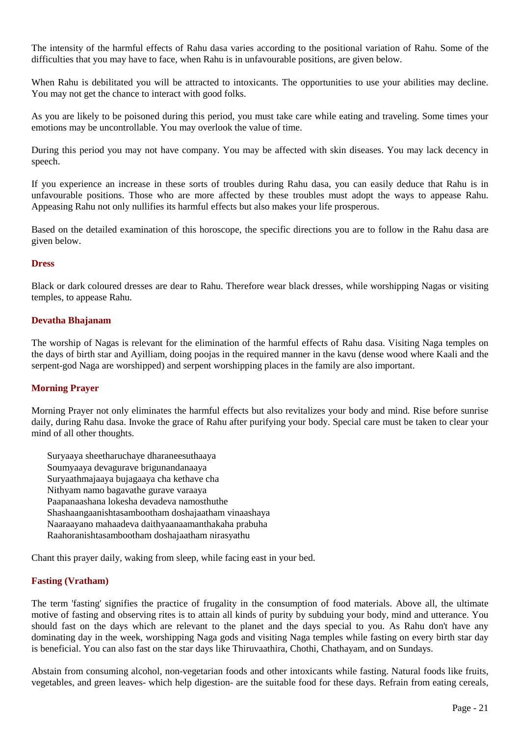The intensity of the harmful effects of Rahu dasa varies according to the positional variation of Rahu. Some of the difficulties that you may have to face, when Rahu is in unfavourable positions, are given below.

When Rahu is debilitated you will be attracted to intoxicants. The opportunities to use your abilities may decline. You may not get the chance to interact with good folks.

As you are likely to be poisoned during this period, you must take care while eating and traveling. Some times your emotions may be uncontrollable. You may overlook the value of time.

During this period you may not have company. You may be affected with skin diseases. You may lack decency in speech.

If you experience an increase in these sorts of troubles during Rahu dasa, you can easily deduce that Rahu is in unfavourable positions. Those who are more affected by these troubles must adopt the ways to appease Rahu. Appeasing Rahu not only nullifies its harmful effects but also makes your life prosperous.

Based on the detailed examination of this horoscope, the specific directions you are to follow in the Rahu dasa are given below.

# **Dress**

Black or dark coloured dresses are dear to Rahu. Therefore wear black dresses, while worshipping Nagas or visiting temples, to appease Rahu.

# **Devatha Bhajanam**

The worship of Nagas is relevant for the elimination of the harmful effects of Rahu dasa. Visiting Naga temples on the days of birth star and Ayilliam, doing poojas in the required manner in the kavu (dense wood where Kaali and the serpent-god Naga are worshipped) and serpent worshipping places in the family are also important.

# **Morning Prayer**

Morning Prayer not only eliminates the harmful effects but also revitalizes your body and mind. Rise before sunrise daily, during Rahu dasa. Invoke the grace of Rahu after purifying your body. Special care must be taken to clear your mind of all other thoughts.

Suryaaya sheetharuchaye dharaneesuthaaya Soumyaaya devagurave brigunandanaaya Suryaathmajaaya bujagaaya cha kethave cha Nithyam namo bagavathe gurave varaaya Paapanaashana lokesha devadeva namosthuthe Shashaangaanishtasambootham doshajaatham vinaashaya Naaraayano mahaadeva daithyaanaamanthakaha prabuha Raahoranishtasambootham doshajaatham nirasyathu

Chant this prayer daily, waking from sleep, while facing east in your bed.

# **Fasting (Vratham)**

The term 'fasting' signifies the practice of frugality in the consumption of food materials. Above all, the ultimate motive of fasting and observing rites is to attain all kinds of purity by subduing your body, mind and utterance. You should fast on the days which are relevant to the planet and the days special to you. As Rahu don't have any dominating day in the week, worshipping Naga gods and visiting Naga temples while fasting on every birth star day is beneficial. You can also fast on the star days like Thiruvaathira, Chothi, Chathayam, and on Sundays.

Abstain from consuming alcohol, non-vegetarian foods and other intoxicants while fasting. Natural foods like fruits, vegetables, and green leaves- which help digestion- are the suitable food for these days. Refrain from eating cereals,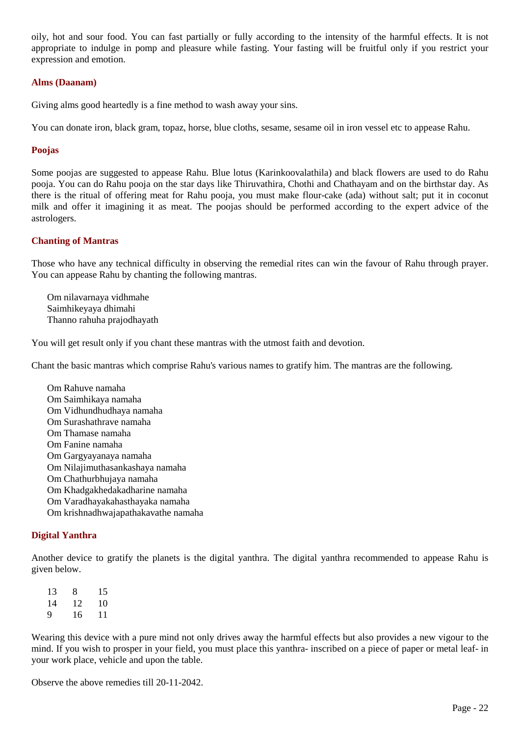oily, hot and sour food. You can fast partially or fully according to the intensity of the harmful effects. It is not appropriate to indulge in pomp and pleasure while fasting. Your fasting will be fruitful only if you restrict your expression and emotion.

# **Alms (Daanam)**

Giving alms good heartedly is a fine method to wash away your sins.

You can donate iron, black gram, topaz, horse, blue cloths, sesame, sesame oil in iron vessel etc to appease Rahu.

# **Poojas**

Some poojas are suggested to appease Rahu. Blue lotus (Karinkoovalathila) and black flowers are used to do Rahu pooja. You can do Rahu pooja on the star days like Thiruvathira, Chothi and Chathayam and on the birthstar day. As there is the ritual of offering meat for Rahu pooja, you must make flour-cake (ada) without salt; put it in coconut milk and offer it imagining it as meat. The poojas should be performed according to the expert advice of the astrologers.

# **Chanting of Mantras**

Those who have any technical difficulty in observing the remedial rites can win the favour of Rahu through prayer. You can appease Rahu by chanting the following mantras.

Om nilavarnaya vidhmahe Saimhikeyaya dhimahi Thanno rahuha prajodhayath

You will get result only if you chant these mantras with the utmost faith and devotion.

Chant the basic mantras which comprise Rahu's various names to gratify him. The mantras are the following.

Om Rahuve namaha Om Saimhikaya namaha Om Vidhundhudhaya namaha Om Surashathrave namaha Om Thamase namaha Om Fanine namaha Om Gargyayanaya namaha Om Nilajimuthasankashaya namaha Om Chathurbhujaya namaha Om Khadgakhedakadharine namaha Om Varadhayakahasthayaka namaha Om krishnadhwajapathakavathe namaha

# **Digital Yanthra**

Another device to gratify the planets is the digital yanthra. The digital yanthra recommended to appease Rahu is given below.

13 8 15 14 12 10 9 16 11

Wearing this device with a pure mind not only drives away the harmful effects but also provides a new vigour to the mind. If you wish to prosper in your field, you must place this yanthra- inscribed on a piece of paper or metal leaf- in your work place, vehicle and upon the table.

Observe the above remedies till 20-11-2042.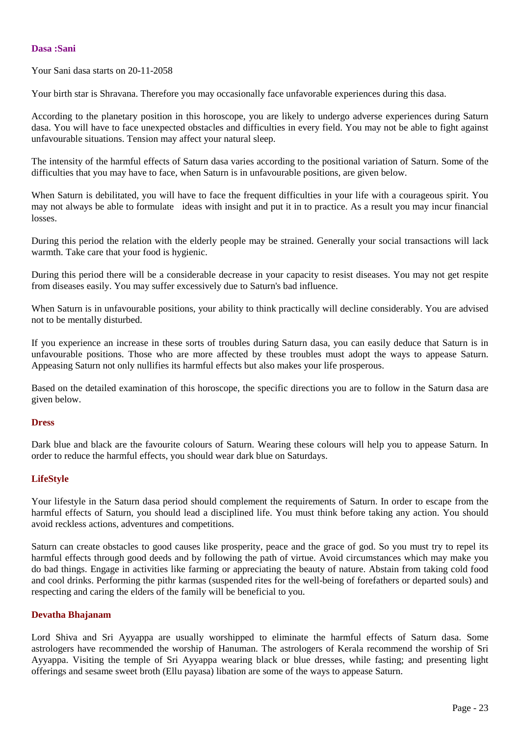# **Dasa :Sani**

Your Sani dasa starts on 20-11-2058

Your birth star is Shravana. Therefore you may occasionally face unfavorable experiences during this dasa.

According to the planetary position in this horoscope, you are likely to undergo adverse experiences during Saturn dasa. You will have to face unexpected obstacles and difficulties in every field. You may not be able to fight against unfavourable situations. Tension may affect your natural sleep.

The intensity of the harmful effects of Saturn dasa varies according to the positional variation of Saturn. Some of the difficulties that you may have to face, when Saturn is in unfavourable positions, are given below.

When Saturn is debilitated, you will have to face the frequent difficulties in your life with a courageous spirit. You may not always be able to formulate ideas with insight and put it in to practice. As a result you may incur financial losses.

During this period the relation with the elderly people may be strained. Generally your social transactions will lack warmth. Take care that your food is hygienic.

During this period there will be a considerable decrease in your capacity to resist diseases. You may not get respite from diseases easily. You may suffer excessively due to Saturn's bad influence.

When Saturn is in unfavourable positions, your ability to think practically will decline considerably. You are advised not to be mentally disturbed.

If you experience an increase in these sorts of troubles during Saturn dasa, you can easily deduce that Saturn is in unfavourable positions. Those who are more affected by these troubles must adopt the ways to appease Saturn. Appeasing Saturn not only nullifies its harmful effects but also makes your life prosperous.

Based on the detailed examination of this horoscope, the specific directions you are to follow in the Saturn dasa are given below.

# **Dress**

Dark blue and black are the favourite colours of Saturn. Wearing these colours will help you to appease Saturn. In order to reduce the harmful effects, you should wear dark blue on Saturdays.

# **LifeStyle**

Your lifestyle in the Saturn dasa period should complement the requirements of Saturn. In order to escape from the harmful effects of Saturn, you should lead a disciplined life. You must think before taking any action. You should avoid reckless actions, adventures and competitions.

Saturn can create obstacles to good causes like prosperity, peace and the grace of god. So you must try to repel its harmful effects through good deeds and by following the path of virtue. Avoid circumstances which may make you do bad things. Engage in activities like farming or appreciating the beauty of nature. Abstain from taking cold food and cool drinks. Performing the pithr karmas (suspended rites for the well-being of forefathers or departed souls) and respecting and caring the elders of the family will be beneficial to you.

# **Devatha Bhajanam**

Lord Shiva and Sri Ayyappa are usually worshipped to eliminate the harmful effects of Saturn dasa. Some astrologers have recommended the worship of Hanuman. The astrologers of Kerala recommend the worship of Sri Ayyappa. Visiting the temple of Sri Ayyappa wearing black or blue dresses, while fasting; and presenting light offerings and sesame sweet broth (Ellu payasa) libation are some of the ways to appease Saturn.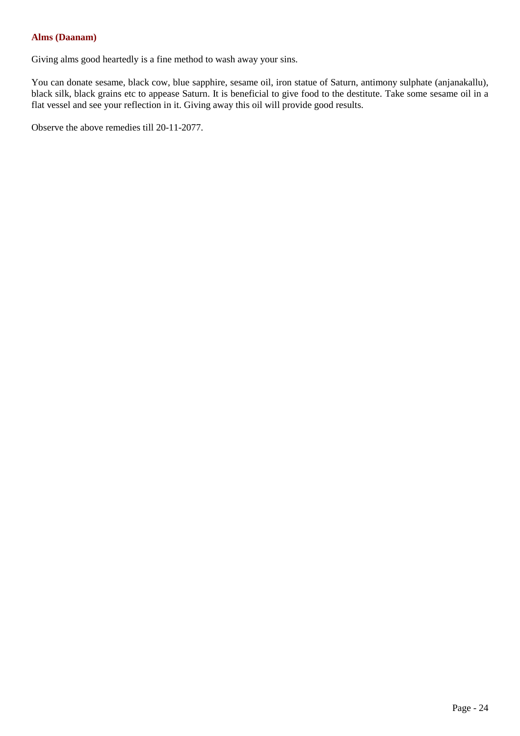# **Alms (Daanam)**

Giving alms good heartedly is a fine method to wash away your sins.

You can donate sesame, black cow, blue sapphire, sesame oil, iron statue of Saturn, antimony sulphate (anjanakallu), black silk, black grains etc to appease Saturn. It is beneficial to give food to the destitute. Take some sesame oil in a flat vessel and see your reflection in it. Giving away this oil will provide good results.

Observe the above remedies till 20-11-2077.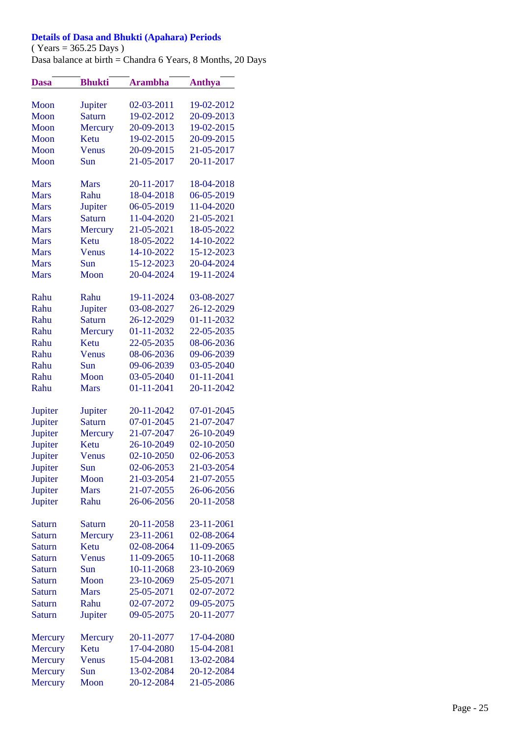# **Details of Dasa and Bhukti (Apahara) Periods**

 $(Years = 365.25$  Days)

Dasa balance at birth = Chandra 6 Years, 8 Months, 20 Days

| <b>Dasa</b>        | <b>Bhukti</b>            | <b>Arambha</b> | <b>Anthya</b>            |
|--------------------|--------------------------|----------------|--------------------------|
|                    |                          |                |                          |
| Moon               | Jupiter                  | 02-03-2011     | 19-02-2012               |
| Moon               | <b>Saturn</b>            | 19-02-2012     | 20-09-2013               |
| Moon               | Mercury                  | 20-09-2013     | 19-02-2015               |
| Moon               | Ketu                     | 19-02-2015     | 20-09-2015               |
| Moon               | Venus                    | 20-09-2015     | 21-05-2017               |
| Moon               | Sun                      | 21-05-2017     | 20-11-2017               |
|                    |                          |                |                          |
| <b>Mars</b>        | <b>Mars</b>              | 20-11-2017     | 18-04-2018               |
| <b>Mars</b>        | Rahu                     | 18-04-2018     | 06-05-2019               |
| <b>Mars</b>        | Jupiter                  | 06-05-2019     | 11-04-2020               |
| <b>Mars</b>        | <b>Saturn</b>            | 11-04-2020     | 21-05-2021               |
| <b>Mars</b>        | Mercury                  | 21-05-2021     | 18-05-2022               |
| <b>Mars</b>        | Ketu                     | 18-05-2022     | 14-10-2022               |
| <b>Mars</b>        | Venus                    | 14-10-2022     | 15-12-2023               |
| <b>Mars</b>        | Sun                      | 15-12-2023     | 20-04-2024               |
| <b>Mars</b>        | Moon                     | 20-04-2024     | 19-11-2024               |
|                    |                          |                |                          |
| Rahu               | Rahu                     | 19-11-2024     | 03-08-2027               |
| Rahu               | Jupiter                  | 03-08-2027     | 26-12-2029               |
| Rahu               | <b>Saturn</b>            | 26-12-2029     | 01-11-2032               |
| Rahu               | Mercury                  | 01-11-2032     | 22-05-2035               |
| Rahu               | Ketu                     | 22-05-2035     | 08-06-2036               |
| Rahu               | Venus                    | 08-06-2036     | 09-06-2039               |
| Rahu               | Sun                      | 09-06-2039     | 03-05-2040               |
| Rahu               | Moon                     |                |                          |
|                    |                          | 03-05-2040     | 01-11-2041               |
| Rahu               | <b>Mars</b>              | 01-11-2041     | 20-11-2042               |
|                    |                          | 20-11-2042     | 07-01-2045               |
| Jupiter            | Jupiter<br><b>Saturn</b> | 07-01-2045     | 21-07-2047               |
| Jupiter            |                          | 21-07-2047     | 26-10-2049               |
| Jupiter            | Mercury<br>Ketu          | 26-10-2049     | 02-10-2050               |
| Jupiter<br>Jupiter | Venus                    | 02-10-2050     | 02-06-2053               |
|                    | Sun                      | 02-06-2053     | 21-03-2054               |
| Jupiter            |                          | 21-03-2054     |                          |
| Jupiter            | Moon<br><b>Mars</b>      | 21-07-2055     | 21-07-2055               |
| Jupiter            |                          |                | 26-06-2056               |
| Jupiter            | Rahu                     | 26-06-2056     | 20-11-2058               |
|                    |                          |                |                          |
| <b>Saturn</b>      | Saturn                   | 20-11-2058     | 23-11-2061<br>02-08-2064 |
| <b>Saturn</b>      | Mercury                  | 23-11-2061     |                          |
| <b>Saturn</b>      | Ketu                     | 02-08-2064     | 11-09-2065               |
| <b>Saturn</b>      | Venus                    | 11-09-2065     | 10-11-2068               |
| <b>Saturn</b>      | Sun                      | 10-11-2068     | 23-10-2069               |
| <b>Saturn</b>      | Moon                     | 23-10-2069     | 25-05-2071               |
| <b>Saturn</b>      | <b>Mars</b>              | 25-05-2071     | 02-07-2072               |
| <b>Saturn</b>      | Rahu                     | 02-07-2072     | 09-05-2075               |
| <b>Saturn</b>      | Jupiter                  | 09-05-2075     | 20-11-2077               |
|                    |                          |                |                          |
| Mercury            | Mercury                  | 20-11-2077     | 17-04-2080               |
| Mercury            | Ketu                     | 17-04-2080     | 15-04-2081               |
| Mercury            | Venus                    | 15-04-2081     | 13-02-2084               |
| Mercury            | Sun                      | 13-02-2084     | 20-12-2084               |
| Mercury            | Moon                     | 20-12-2084     | 21-05-2086               |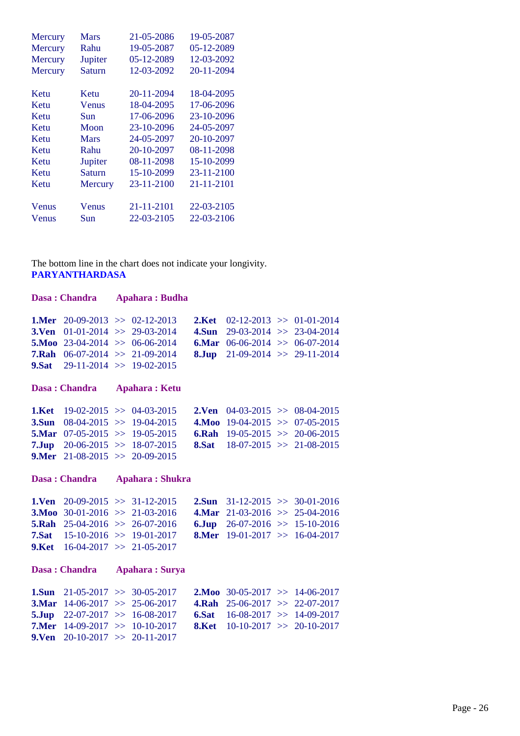| Mercury        | <b>Mars</b>   | 21-05-2086 | 19-05-2087 |
|----------------|---------------|------------|------------|
| Mercury        | Rahu          | 19-05-2087 | 05-12-2089 |
| <b>Mercury</b> | Jupiter       | 05-12-2089 | 12-03-2092 |
| Mercury        | <b>Saturn</b> | 12-03-2092 | 20-11-2094 |
| Ketu           | Ketu          | 20-11-2094 | 18-04-2095 |
| Ketu           | Venus         | 18-04-2095 | 17-06-2096 |
| Ketu           | Sun           | 17-06-2096 | 23-10-2096 |
| Ketu           | Moon          | 23-10-2096 | 24-05-2097 |
| Ketu           | Mars          | 24-05-2097 | 20-10-2097 |
| Ketu           | Rahu          | 20-10-2097 | 08-11-2098 |
| Ketu           | Jupiter       | 08-11-2098 | 15-10-2099 |
| Ketu           | <b>Saturn</b> | 15-10-2099 | 23-11-2100 |
| Ketu           | Mercury       | 23-11-2100 | 21-11-2101 |
| Venus          | Venus         | 21-11-2101 | 22-03-2105 |
| Venus          | Sun           | 22-03-2105 | 22-03-2106 |

#### The bottom line in the chart does not indicate your longivity. **PARYANTHARDASA**

|                                                | Dasa: Chandra                                                                                                                                                             | <b>Apahara: Budha</b>  |                                         |                                                                            |                                                                                                                                 |
|------------------------------------------------|---------------------------------------------------------------------------------------------------------------------------------------------------------------------------|------------------------|-----------------------------------------|----------------------------------------------------------------------------|---------------------------------------------------------------------------------------------------------------------------------|
| 3.Ven<br><b>5.Moo</b><br><b>7.Rah</b><br>9.Sat | 1.Mer $20-09-2013 \implies 02-12-2013$<br>$01-01-2014$ >> 29-03-2014<br>$23-04-2014$ >> 06-06-2014<br>$06-07-2014$ >> 21-09-2014<br>$29-11-2014$ >> 19-02-2015            |                        | 2.Ket<br>4.Sun<br>6.Mar<br>8.Jup        | $02-12-2013$ >> $01-01-2014$                                               | $29-03-2014$ >> $23-04-2014$<br>$06-06-2014$ >> $06-07-2014$<br>$21-09-2014$ >> $29-11-2014$                                    |
|                                                | Dasa: Chandra                                                                                                                                                             | <b>Apahara: Ketu</b>   |                                         |                                                                            |                                                                                                                                 |
| 1.Ket<br>3.Sun<br>7.Jup                        | $19-02-2015 \Rightarrow 04-03-2015$<br>$08-04-2015$ >> 19-04-2015<br>5.Mar $07-05-2015 \gg 19-05-2015$<br>$20-06-2015$ >> 18-07-2015<br>9.Mer $21-08-2015 \gg 20-09-2015$ |                        | 2.Ven<br><b>4.Moo</b><br>6.Rah<br>8.Sat |                                                                            | $04-03-2015$ >> $08-04-2015$<br>$19-04-2015 \Rightarrow 07-05-2015$<br>$19-05-2015$ >> 20-06-2015<br>$18-07-2015$ >> 21-08-2015 |
|                                                |                                                                                                                                                                           |                        |                                         |                                                                            |                                                                                                                                 |
|                                                | Dasa: Chandra                                                                                                                                                             | <b>Apahara: Shukra</b> |                                         |                                                                            |                                                                                                                                 |
| 1.Ven<br>5.Rah<br>7.Sat<br>9.Ket               | $20-09-2015$ >> 31-12-2015<br>3. Moo 30-01-2016 >> 21-03-2016<br>$25-04-2016$ >> $26-07-2016$<br>$15-10-2016$ >> 19-01-2017<br>$16-04-2017$ >> 21-05-2017                 |                        | $2.S$ un<br>6Jup                        | 4.Mar $21-03-2016 \gg 25-04-2016$<br><b>8.Mer</b> 19-01-2017 >> 16-04-2017 | $31-12-2015$ >> $30-01-2016$<br>$26-07-2016$ >> 15-10-2016                                                                      |
|                                                | Dasa: Chandra                                                                                                                                                             | Apahara: Surya         |                                         |                                                                            |                                                                                                                                 |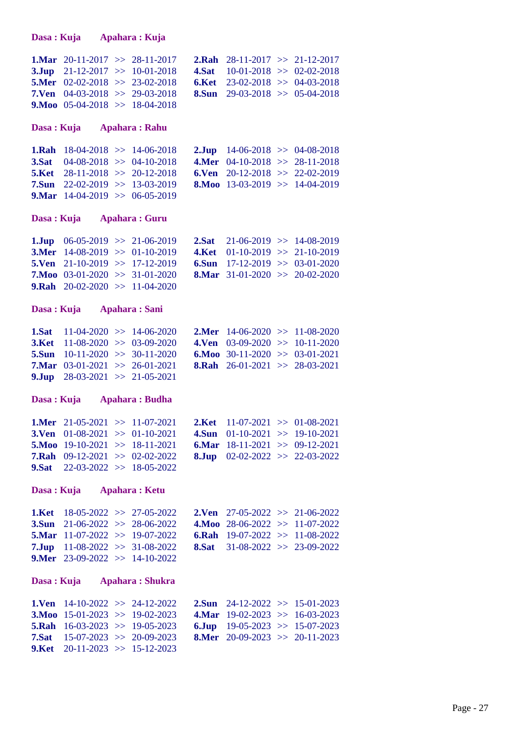**Dasa : Kuja Apahara : Kuja**

|                                          | <b>1.Mar</b> 20-11-2017 >> 28-11-2017         | <b>2.Rah</b> 28-11-2017 >> 21-12-2017    |  |
|------------------------------------------|-----------------------------------------------|------------------------------------------|--|
|                                          | <b>3.Jup</b> $21-12-2017 \gg 10-01-2018$      | 4.Sat $10-01-2018 \gg 02-02-2018$        |  |
|                                          | <b>5.Mer</b> $02-02-2018 \implies 23-02-2018$ | 6.Ket $23-02-2018 \gg 04-03-2018$        |  |
|                                          | <b>7.Ven</b> $04-03-2018 \implies 29-03-2018$ | <b>8.Sun</b> 29-03-2018 $\gg$ 05-04-2018 |  |
| <b>9.Moo</b> 05-04-2018 $\gg$ 18-04-2018 |                                               |                                          |  |

# **Dasa : Kuja Apahara : Rahu**

| <b>1.Rah</b> 18-04-2018 $\gg$ 14-06-2018 |  | <b>2.Jup</b> $14-06-2018 > 04-08-2018$ |  |
|------------------------------------------|--|----------------------------------------|--|
| <b>3.Sat</b> 04-08-2018 >> 04-10-2018    |  | 4.Mer $04-10-2018 \gg 28-11-2018$      |  |
| <b>5.Ket</b> 28-11-2018 $\gg$ 20-12-2018 |  | 6. Ven $20-12-2018 \gg 22-02-2019$     |  |
| <b>7.Sun</b> 22-02-2019 $\gg$ 13-03-2019 |  | <b>8.Moo</b> 13-03-2019 > 14-04-2019   |  |
| <b>9.Mar</b> 14-04-2019 >> 06-05-2019    |  |                                        |  |

# **Dasa : Kuja Apahara : Guru**

|  | <b>1.Jup</b> $06-05-2019 \gg 21-06-2019$<br><b>3.Mer</b> 14-08-2019 >> 01-10-2019<br><b>5.Ven</b> 21-10-2019 >> 17-12-2019<br><b>7.Moo</b> 03-01-2020 >> 31-01-2020<br><b>9.Rah</b> 20-02-2020 >> 11-04-2020 |  | <b>2.Sat</b> 21-06-2019 $\gg$ 14-08-2019<br>4.Ket $01-10-2019$ >> 21-10-2019<br>6. Sun $17-12-2019 \gg 03-01-2020$<br><b>8.Mar</b> 31-01-2020 >> 20-02-2020 |
|--|--------------------------------------------------------------------------------------------------------------------------------------------------------------------------------------------------------------|--|-------------------------------------------------------------------------------------------------------------------------------------------------------------|

# **Dasa : Kuja Apahara : Sani**

| <b>1.Sat</b> 11-04-2020 >> 14-06-2020    |                                               | <b>2.Mer</b> 14-06-2020 >> 11-08-2020 |  |
|------------------------------------------|-----------------------------------------------|---------------------------------------|--|
| <b>3.Ket</b> 11-08-2020 $\gg$ 03-09-2020 |                                               | 4. Ven $03-09-2020 \gg 10-11-2020$    |  |
| <b>5.Sun</b> 10-11-2020 >> 30-11-2020    |                                               | 6.Moo 30-11-2020 >> 03-01-2021        |  |
|                                          | <b>7.Mar</b> $03-01-2021 \implies 26-01-2021$ | <b>8.Rah</b> 26-01-2021 >> 28-03-2021 |  |
| 9.Jup $28-03-2021 \gg 21-05-2021$        |                                               |                                       |  |

# **Dasa : Kuja Apahara : Budha**

|                                       | <b>1.Mer</b> 21-05-2021 $\gg$ 11-07-2021 | <b>2.Ket</b> 11-07-2021 $\gg$ 01-08-2021      |  |
|---------------------------------------|------------------------------------------|-----------------------------------------------|--|
|                                       | <b>3.Ven</b> $01-08-2021 \gg 01-10-2021$ | 4.Sun $01-10-2021 \gg 19-10-2021$             |  |
|                                       | <b>5.Moo</b> 19-10-2021 $\gg$ 18-11-2021 | 6. Mar $18-11-2021 \gg 09-12-2021$            |  |
|                                       | <b>7.Rah</b> $09-12-2021 \gg 02-02-2022$ | <b>8.Jup</b> $02-02-2022 \implies 22-03-2022$ |  |
| <b>9.Sat</b> 22-03-2022 >> 18-05-2022 |                                          |                                               |  |

# **Dasa : Kuja Apahara : Ketu**

|                                       | <b>1.Ket</b> 18-05-2022 >> 27-05-2022    | <b>2.Ven</b> 27-05-2022 $\gg$ 21-06-2022 |  |
|---------------------------------------|------------------------------------------|------------------------------------------|--|
|                                       | <b>3.Sun</b> 21-06-2022 >> 28-06-2022    | 4.Moo 28-06-2022 >> 11-07-2022           |  |
| <b>5.Mar</b> 11-07-2022 >> 19-07-2022 |                                          | <b>6.Rah</b> 19-07-2022 >> 11-08-2022    |  |
|                                       | <b>7.Jup</b> $11-08-2022 \gg 31-08-2022$ | <b>8.Sat</b> 31-08-2022 >> 23-09-2022    |  |
| <b>9.Mer</b> 23-09-2022 >> 14-10-2022 |                                          |                                          |  |

## **Dasa : Kuja Apahara : Shukra**

|                                          | <b>1.Ven</b> 14-10-2022 >> 24-12-2022 | <b>2.Sun</b> 24-12-2022 >> 15-01-2023  |  |
|------------------------------------------|---------------------------------------|----------------------------------------|--|
|                                          | <b>3.Moo</b> 15-01-2023 >> 19-02-2023 | 4.Mar $19-02-2023 \implies 16-03-2023$ |  |
| <b>5.Rah</b> $16-03-2023 \gg 19-05-2023$ |                                       | 6.Jup $19-05-2023 \implies 15-07-2023$ |  |
|                                          | <b>7.Sat</b> 15-07-2023 >> 20-09-2023 | <b>8.Mer</b> 20-09-2023 >> 20-11-2023  |  |
| 9.Ket $20-11-2023 \implies 15-12-2023$   |                                       |                                        |  |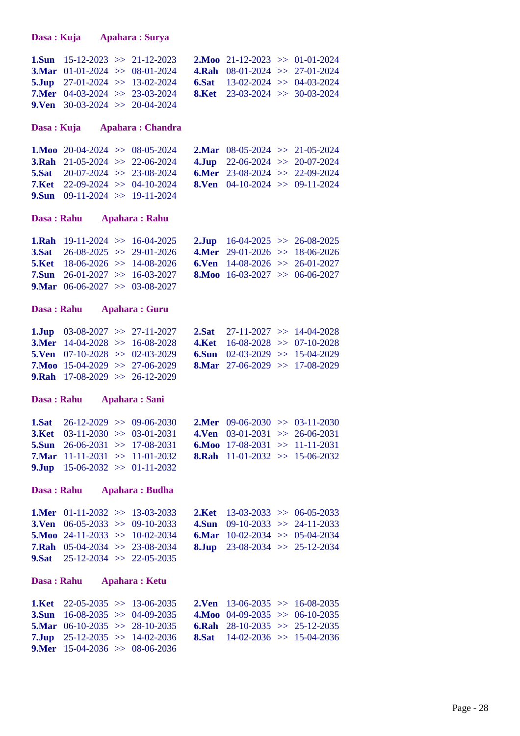**Dasa : Kuja Apahara : Surya**

|  | <b>3.Mar</b> $01-01-2024 \gg 08-01-2024$<br><b>9.Ven</b> 30-03-2024 $\gg$ 20-04-2024 | <b>1.Sun</b> 15-12-2023 $\gg$ 21-12-2023<br><b>5.Jup</b> $27-01-2024 \implies 13-02-2024$<br><b>7.Mer</b> $04-03-2024 \implies 23-03-2024$ | <b>2.Moo</b> 21-12-2023 >> 01-01-2024<br><b>4.Rah</b> $08-01-2024 \implies 27-01-2024$<br>6.Sat $13-02-2024 \gg 04-03-2024$<br><b>8.Ket</b> 23-03-2024 $\gg$ 30-03-2024 |
|--|--------------------------------------------------------------------------------------|--------------------------------------------------------------------------------------------------------------------------------------------|-------------------------------------------------------------------------------------------------------------------------------------------------------------------------|

#### **Dasa : Kuja Apahara : Chandra**

| <b>1.Moo</b> 20-04-2024 $\gg$ 08-05-2024 |  | <b>2.Mar</b> 08-05-2024 $\gg$ 21-05-2024 |  |
|------------------------------------------|--|------------------------------------------|--|
| <b>3.Rah</b> $21-05-2024$ > $22-06-2024$ |  | 4.Jup $22-06-2024 \gg 20-07-2024$        |  |
| <b>5.Sat</b> 20-07-2024 $\gg$ 23-08-2024 |  | <b>6.Mer</b> 23-08-2024 $\gg$ 22-09-2024 |  |
| <b>7.Ket</b> 22-09-2024 $\gg$ 04-10-2024 |  | <b>8.Ven</b> 04-10-2024 >> 09-11-2024    |  |
| <b>9.Sun</b> 09-11-2024 >> 19-11-2024    |  |                                          |  |

#### **Dasa : Rahu Apahara : Rahu**

|  | <b>1.Rah</b> 19-11-2024 $\gg$ 16-04-2025<br><b>3.Sat</b> $26-08-2025 \gg 29-01-2026$<br><b>5.Ket</b> 18-06-2026 $\gg$ 14-08-2026<br><b>7.Sun</b> 26-01-2027 >> 16-03-2027<br><b>9.Mar</b> $06-06-2027 \gg 03-08-2027$ |  | <b>2.Jup</b> 16-04-2025 >> 26-08-2025<br>4.Mer $29-01-2026 \gg 18-06-2026$<br>6. Ven $14-08-2026 \gg 26-01-2027$<br><b>8.Moo</b> 16-03-2027 >> 06-06-2027 |
|--|-----------------------------------------------------------------------------------------------------------------------------------------------------------------------------------------------------------------------|--|-----------------------------------------------------------------------------------------------------------------------------------------------------------|

#### **Dasa : Rahu Apahara : Guru**

|                                               | <b>1.Jup</b> $03-08-2027 \gg 27-11-2027$ | <b>2.Sat</b> 27-11-2027 $\gg$ 14-04-2028 |  |
|-----------------------------------------------|------------------------------------------|------------------------------------------|--|
|                                               | <b>3.Mer</b> 14-04-2028 $\gg$ 16-08-2028 | 4.Ket $16-08-2028 \gg 07-10-2028$        |  |
| <b>5.Ven</b> $07-10-2028 \implies 02-03-2029$ |                                          | 6. Sun $02-03-2029 \implies 15-04-2029$  |  |
|                                               | <b>7.Moo</b> 15-04-2029 $\gg$ 27-06-2029 | <b>8.Mar</b> 27-06-2029 >> 17-08-2029    |  |
| <b>9.Rah</b> $17-08-2029 \gg 26-12-2029$      |                                          |                                          |  |

# **Dasa : Rahu Apahara : Sani**

|                                   | <b>1.Sat</b> 26-12-2029 $\gg$ 09-06-2030      | <b>2.Mer</b> 09-06-2030 > 03-11-2030    |  |
|-----------------------------------|-----------------------------------------------|-----------------------------------------|--|
|                                   | <b>3.Ket</b> $03-11-2030 \implies 03-01-2031$ | 4. Ven $03-01-2031 \implies 26-06-2031$ |  |
|                                   | <b>5.Sun</b> 26-06-2031 $\gg$ 17-08-2031      | 6.Moo 17-08-2031 >> 11-11-2031          |  |
|                                   | <b>7.Mar</b> 11-11-2031 $\gg$ 11-01-2032      | <b>8.Rah</b> 11-01-2032 >> 15-06-2032   |  |
| 9.Jup $15-06-2032 \gg 01-11-2032$ |                                               |                                         |  |

#### **Dasa : Rahu Apahara : Budha**

|                                               | <b>1.Mer</b> $01-11-2032 \implies 13-03-2033$ | <b>2.Ket</b> 13-03-2033 $\gg$ 06-05-2033 |  |
|-----------------------------------------------|-----------------------------------------------|------------------------------------------|--|
| <b>3.Ven</b> 06-05-2033 >> 09-10-2033         |                                               | <b>4.Sun</b> 09-10-2033 >> 24-11-2033    |  |
| <b>5.Moo</b> 24-11-2033 $\gg$ 10-02-2034      |                                               | <b>6.Mar</b> 10-02-2034 $\gg$ 05-04-2034 |  |
| <b>7.Rah</b> $05-04-2034 \implies 23-08-2034$ |                                               | <b>8.Jup</b> 23-08-2034 $\gg$ 25-12-2034 |  |
| <b>9.Sat</b> $25-12-2034 \gg 22-05-2035$      |                                               |                                          |  |

#### **Dasa : Rahu Apahara : Ketu**

|                                          | <b>1.Ket</b> 22-05-2035 $\gg$ 13-06-2035 | <b>2.Ven</b> 13-06-2035 $\gg$ 16-08-2035 |  |
|------------------------------------------|------------------------------------------|------------------------------------------|--|
|                                          | <b>3.Sun</b> 16-08-2035 >> 04-09-2035    | 4.Moo $04-09-2035 \implies 06-10-2035$   |  |
|                                          | <b>5.Mar</b> 06-10-2035 $\gg$ 28-10-2035 | <b>6.Rah</b> 28-10-2035 >> 25-12-2035    |  |
|                                          | <b>7.Jup</b> $25-12-2035 \gg 14-02-2036$ | <b>8.Sat</b> 14-02-2036 $\gg$ 15-04-2036 |  |
| <b>9.Mer</b> 15-04-2036 $\gg$ 08-06-2036 |                                          |                                          |  |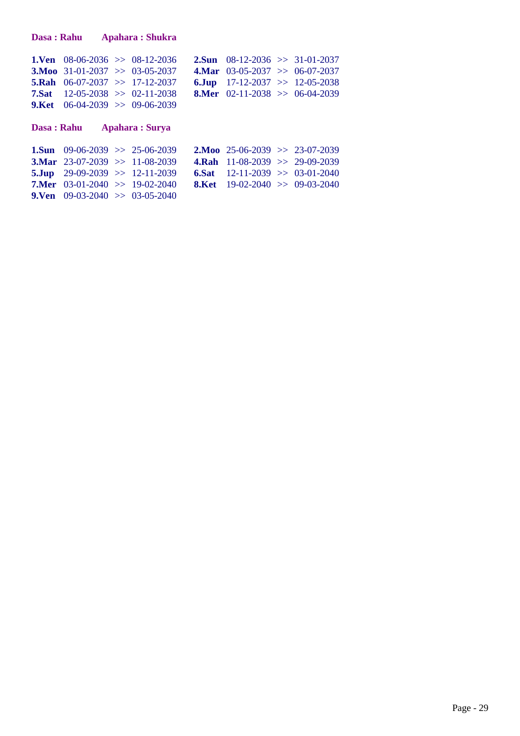|                                  | <b>1.Ven</b> 08-06-2036 $\gg$ 08-12-2036 | <b>2.Sun</b> 08-12-2036 >> 31-01-2037         |  |
|----------------------------------|------------------------------------------|-----------------------------------------------|--|
|                                  | <b>3.Moo</b> 31-01-2037 $\gg$ 03-05-2037 | 4.Mar $03-05-2037 \gg 06-07-2037$             |  |
|                                  | <b>5.Rah</b> $06-07-2037 \gg 17-12-2037$ | 6.Jup $17-12-2037 \gg 12-05-2038$             |  |
|                                  | <b>7.Sat</b> 12-05-2038 $\gg$ 02-11-2038 | <b>8.Mer</b> $02-11-2038 \implies 06-04-2039$ |  |
| 9.Ket $06-04-2039 >> 09-06-2039$ |                                          |                                               |  |

# **Dasa : Rahu Apahara : Surya**

| <b>1.Sun</b> 09-06-2039 >> 25-06-2039    |  | <b>2.Moo</b> 25-06-2039 >> 23-07-2039    |  |
|------------------------------------------|--|------------------------------------------|--|
| <b>3.Mar</b> 23-07-2039 >> 11-08-2039    |  | <b>4.Rah</b> 11-08-2039 >> 29-09-2039    |  |
| <b>5.Jup</b> 29-09-2039 $\gg$ 12-11-2039 |  | 6.Sat $12-11-2039 \gg 03-01-2040$        |  |
| <b>7.Mer</b> 03-01-2040 >> 19-02-2040    |  | <b>8.Ket</b> 19-02-2040 $\gg$ 09-03-2040 |  |
| <b>9.Ven</b> 09-03-2040 $\gg$ 03-05-2040 |  |                                          |  |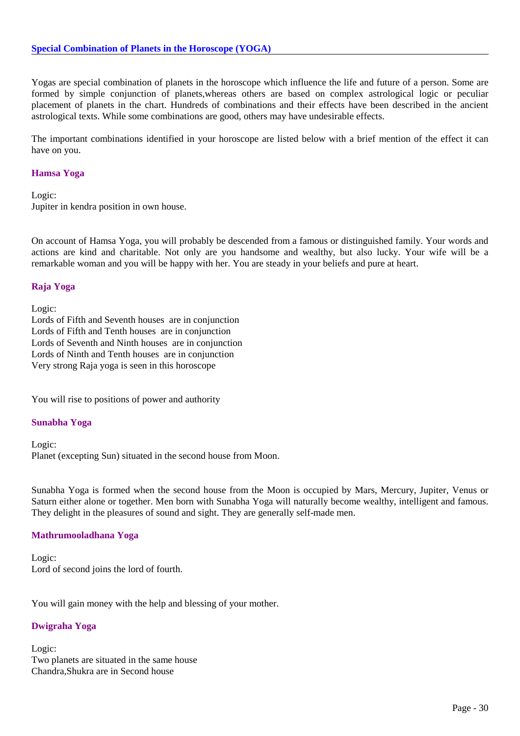Yogas are special combination of planets in the horoscope which influence the life and future of a person. Some are formed by simple conjunction of planets,whereas others are based on complex astrological logic or peculiar placement of planets in the chart. Hundreds of combinations and their effects have been described in the ancient astrological texts. While some combinations are good, others may have undesirable effects.

The important combinations identified in your horoscope are listed below with a brief mention of the effect it can have on you.

# **Hamsa Yoga**

Logic: Jupiter in kendra position in own house.

On account of Hamsa Yoga, you will probably be descended from a famous or distinguished family. Your words and actions are kind and charitable. Not only are you handsome and wealthy, but also lucky. Your wife will be a remarkable woman and you will be happy with her. You are steady in your beliefs and pure at heart.

# **Raja Yoga**

Logic: Lords of Fifth and Seventh houses are in conjunction Lords of Fifth and Tenth houses are in conjunction Lords of Seventh and Ninth houses are in conjunction Lords of Ninth and Tenth houses are in conjunction Very strong Raja yoga is seen in this horoscope

You will rise to positions of power and authority

# **Sunabha Yoga**

Logic: Planet (excepting Sun) situated in the second house from Moon.

Sunabha Yoga is formed when the second house from the Moon is occupied by Mars, Mercury, Jupiter, Venus or Saturn either alone or together. Men born with Sunabha Yoga will naturally become wealthy, intelligent and famous. They delight in the pleasures of sound and sight. They are generally self-made men.

# **Mathrumooladhana Yoga**

Logic: Lord of second joins the lord of fourth.

You will gain money with the help and blessing of your mother.

# **Dwigraha Yoga**

Logic: Two planets are situated in the same house Chandra,Shukra are in Second house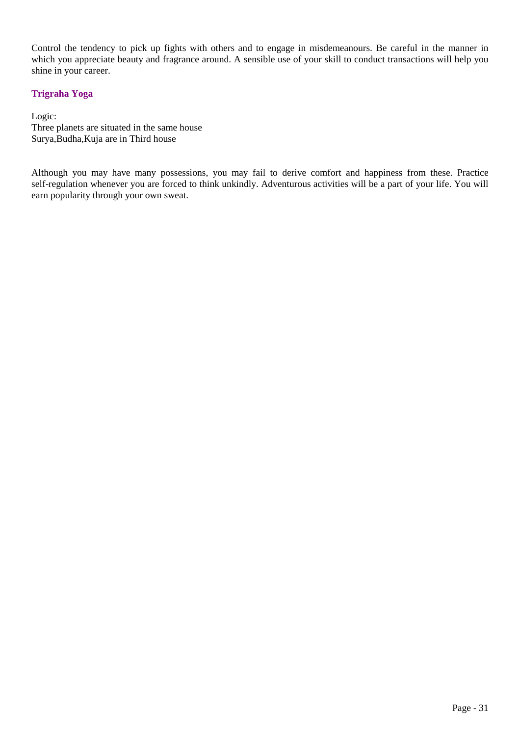Control the tendency to pick up fights with others and to engage in misdemeanours. Be careful in the manner in which you appreciate beauty and fragrance around. A sensible use of your skill to conduct transactions will help you shine in your career.

# **Trigraha Yoga**

Logic: Three planets are situated in the same house Surya,Budha,Kuja are in Third house

Although you may have many possessions, you may fail to derive comfort and happiness from these. Practice self-regulation whenever you are forced to think unkindly. Adventurous activities will be a part of your life. You will earn popularity through your own sweat.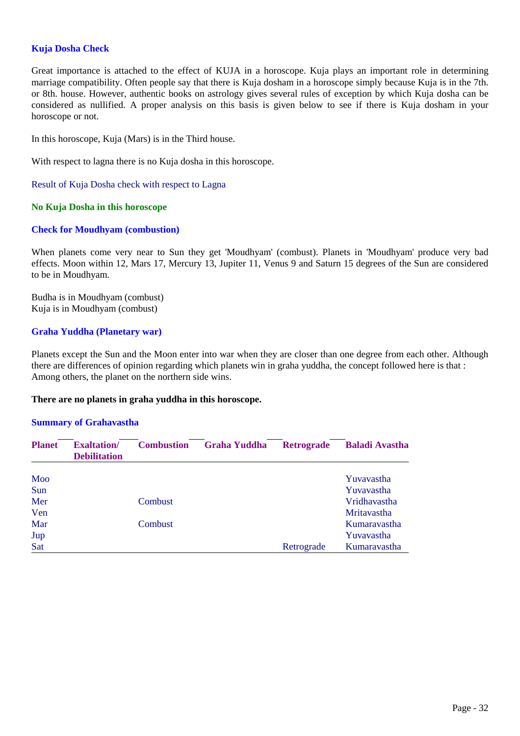# **Kuja Dosha Check**

Great importance is attached to the effect of KUJA in a horoscope. Kuja plays an important role in determining marriage compatibility. Often people say that there is Kuja dosham in a horoscope simply because Kuja is in the 7th. or 8th. house. However, authentic books on astrology gives several rules of exception by which Kuja dosha can be considered as nullified. A proper analysis on this basis is given below to see if there is Kuja dosham in your horoscope or not.

In this horoscope, Kuja (Mars) is in the Third house.

With respect to lagna there is no Kuja dosha in this horoscope.

Result of Kuja Dosha check with respect to Lagna

# **No Kuja Dosha in this horoscope**

# **Check for Moudhyam (combustion)**

When planets come very near to Sun they get 'Moudhyam' (combust). Planets in 'Moudhyam' produce very bad effects. Moon within 12, Mars 17, Mercury 13, Jupiter 11, Venus 9 and Saturn 15 degrees of the Sun are considered to be in Moudhyam.

Budha is in Moudhyam (combust) Kuja is in Moudhyam (combust)

# **Graha Yuddha (Planetary war)**

Planets except the Sun and the Moon enter into war when they are closer than one degree from each other. Although there are differences of opinion regarding which planets win in graha yuddha, the concept followed here is that : Among others, the planet on the northern side wins.

# **There are no planets in graha yuddha in this horoscope.**

# **Summary of Grahavastha**

| <b>Planet</b> | <b>Exaltation</b> /<br><b>Debilitation</b> | <b>Combustion</b> | <b>Graha Yuddha</b> | <b>Retrograde</b> | <b>Baladi Avastha</b> |
|---------------|--------------------------------------------|-------------------|---------------------|-------------------|-----------------------|
| Moo           |                                            |                   |                     |                   | Yuvavastha            |
| Sun           |                                            |                   |                     |                   | Yuvavastha            |
| Mer           |                                            | Combust           |                     |                   | Vridhavastha          |
| Ven           |                                            |                   |                     |                   | <b>Mritavastha</b>    |
| Mar           |                                            | Combust           |                     |                   | Kumaravastha          |
| Jup           |                                            |                   |                     |                   | Yuvavastha            |
| Sat           |                                            |                   |                     | Retrograde        | Kumaravastha          |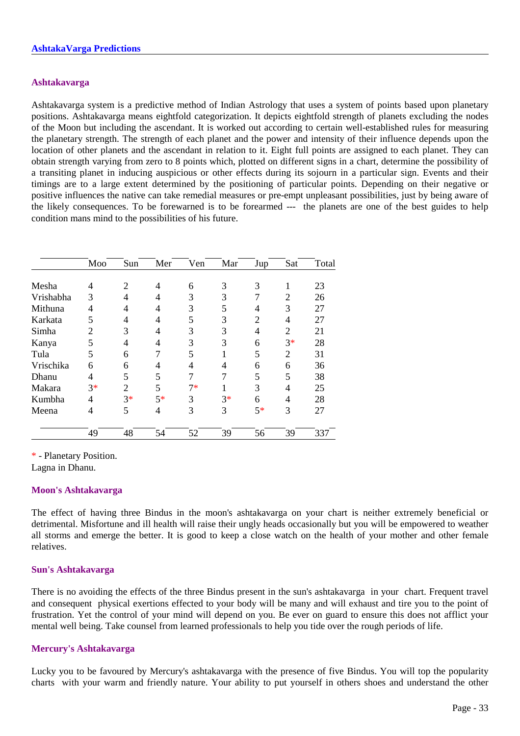#### **Ashtakavarga**

Ashtakavarga system is a predictive method of Indian Astrology that uses a system of points based upon planetary positions. Ashtakavarga means eightfold categorization. It depicts eightfold strength of planets excluding the nodes of the Moon but including the ascendant. It is worked out according to certain well-established rules for measuring the planetary strength. The strength of each planet and the power and intensity of their influence depends upon the location of other planets and the ascendant in relation to it. Eight full points are assigned to each planet. They can obtain strength varying from zero to 8 points which, plotted on different signs in a chart, determine the possibility of a transiting planet in inducing auspicious or other effects during its sojourn in a particular sign. Events and their timings are to a large extent determined by the positioning of particular points. Depending on their negative or positive influences the native can take remedial measures or pre-empt unpleasant possibilities, just by being aware of the likely consequences. To be forewarned is to be forearmed --- the planets are one of the best guides to help condition mans mind to the possibilities of his future.

|           | Moo            | Sun            | Mer  | Ven  | Mar  | Jup  | Sat            | Total |
|-----------|----------------|----------------|------|------|------|------|----------------|-------|
|           |                |                |      |      |      |      |                |       |
| Mesha     | 4              | 2              | 4    | 6    | 3    | 3    | 1              | 23    |
| Vrishabha | 3              | 4              | 4    | 3    | 3    | 7    | 2              | 26    |
| Mithuna   | 4              | 4              | 4    | 3    | 5    | 4    | 3              | 27    |
| Karkata   | 5              | 4              | 4    | 5    | 3    | 2    | 4              | 27    |
| Simha     | $\overline{2}$ | 3              | 4    | 3    | 3    | 4    | $\mathfrak{D}$ | 21    |
| Kanya     | 5              | 4              | 4    | 3    | 3    | 6    | $3*$           | 28    |
| Tula      | 5              | 6              | 7    | 5    |      | 5    | $\overline{2}$ | 31    |
| Vrischika | 6              | 6              | 4    | 4    | 4    | 6    | 6              | 36    |
| Dhanu     | 4              | 5              | 5    | 7    | 7    | 5    | 5              | 38    |
| Makara    | $3*$           | $\overline{2}$ | 5    | $7*$ |      | 3    | 4              | 25    |
| Kumbha    | 4              | $3*$           | $5*$ | 3    | $3*$ | 6    | 4              | 28    |
| Meena     | 4              | 5              | 4    | 3    | 3    | $5*$ | 3              | 27    |
|           | 49             | 48             | 54   | 52   | 39   | 56   | 39             | 337   |

\* - Planetary Position.

Lagna in Dhanu.

# **Moon's Ashtakavarga**

The effect of having three Bindus in the moon's ashtakavarga on your chart is neither extremely beneficial or detrimental. Misfortune and ill health will raise their ungly heads occasionally but you will be empowered to weather all storms and emerge the better. It is good to keep a close watch on the health of your mother and other female relatives.

# **Sun's Ashtakavarga**

There is no avoiding the effects of the three Bindus present in the sun's ashtakavarga in your chart. Frequent travel and consequent physical exertions effected to your body will be many and will exhaust and tire you to the point of frustration. Yet the control of your mind will depend on you. Be ever on guard to ensure this does not afflict your mental well being. Take counsel from learned professionals to help you tide over the rough periods of life.

# **Mercury's Ashtakavarga**

Lucky you to be favoured by Mercury's ashtakavarga with the presence of five Bindus. You will top the popularity charts with your warm and friendly nature. Your ability to put yourself in others shoes and understand the other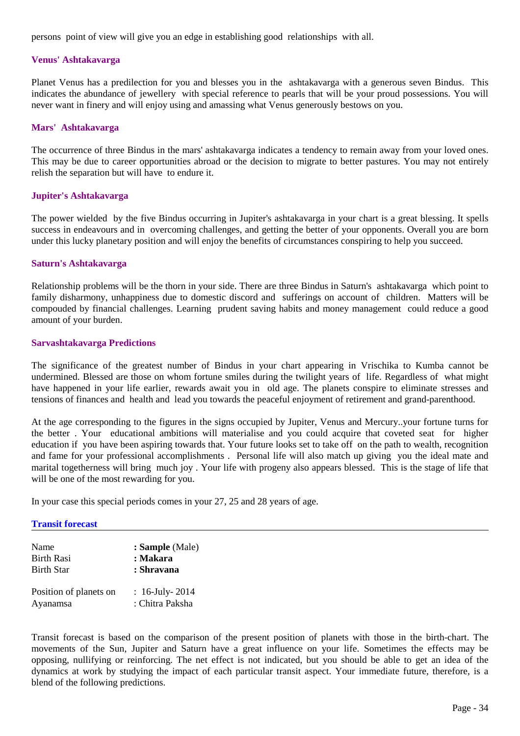persons point of view will give you an edge in establishing good relationships with all.

# **Venus' Ashtakavarga**

Planet Venus has a predilection for you and blesses you in the ashtakavarga with a generous seven Bindus. This indicates the abundance of jewellery with special reference to pearls that will be your proud possessions. You will never want in finery and will enjoy using and amassing what Venus generously bestows on you.

#### **Mars' Ashtakavarga**

The occurrence of three Bindus in the mars' ashtakavarga indicates a tendency to remain away from your loved ones. This may be due to career opportunities abroad or the decision to migrate to better pastures. You may not entirely relish the separation but will have to endure it.

#### **Jupiter's Ashtakavarga**

The power wielded by the five Bindus occurring in Jupiter's ashtakavarga in your chart is a great blessing. It spells success in endeavours and in overcoming challenges, and getting the better of your opponents. Overall you are born under this lucky planetary position and will enjoy the benefits of circumstances conspiring to help you succeed.

#### **Saturn's Ashtakavarga**

Relationship problems will be the thorn in your side. There are three Bindus in Saturn's ashtakavarga which point to family disharmony, unhappiness due to domestic discord and sufferings on account of children. Matters will be compouded by financial challenges. Learning prudent saving habits and money management could reduce a good amount of your burden.

#### **Sarvashtakavarga Predictions**

The significance of the greatest number of Bindus in your chart appearing in Vrischika to Kumba cannot be undermined. Blessed are those on whom fortune smiles during the twilight years of life. Regardless of what might have happened in your life earlier, rewards await you in old age. The planets conspire to eliminate stresses and tensions of finances and health and lead you towards the peaceful enjoyment of retirement and grand-parenthood.

At the age corresponding to the figures in the signs occupied by Jupiter, Venus and Mercury..your fortune turns for the better . Your educational ambitions will materialise and you could acquire that coveted seat for higher education if you have been aspiring towards that. Your future looks set to take off on the path to wealth, recognition and fame for your professional accomplishments . Personal life will also match up giving you the ideal mate and marital togetherness will bring much joy . Your life with progeny also appears blessed. This is the stage of life that will be one of the most rewarding for you.

In your case this special periods comes in your 27, 25 and 28 years of age.

#### **Transit forecast**

| Name                   | : Sample (Male)      |
|------------------------|----------------------|
| <b>Birth Rasi</b>      | : Makara             |
| <b>Birth Star</b>      | : Shravana           |
| Position of planets on | : $16$ -July- $2014$ |
| Ayanamsa               | : Chitra Paksha      |

Transit forecast is based on the comparison of the present position of planets with those in the birth-chart. The movements of the Sun, Jupiter and Saturn have a great influence on your life. Sometimes the effects may be opposing, nullifying or reinforcing. The net effect is not indicated, but you should be able to get an idea of the dynamics at work by studying the impact of each particular transit aspect. Your immediate future, therefore, is a blend of the following predictions.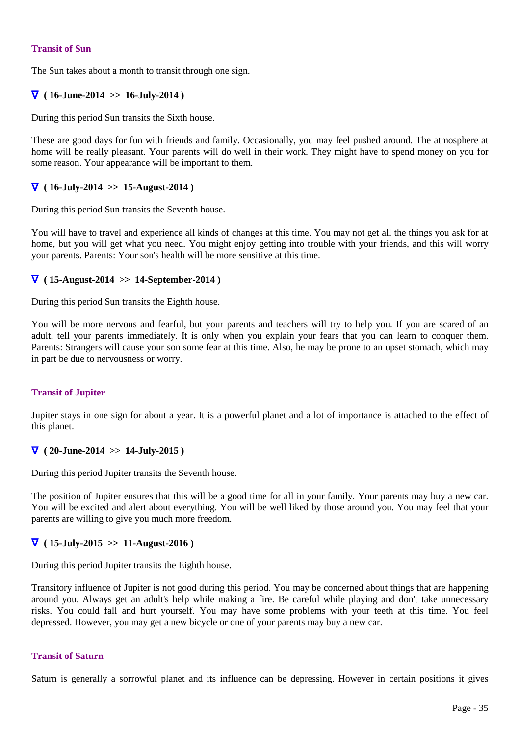# **Transit of Sun**

The Sun takes about a month to transit through one sign.

# ∇ **( 16-June-2014 >> 16-July-2014 )**

During this period Sun transits the Sixth house.

These are good days for fun with friends and family. Occasionally, you may feel pushed around. The atmosphere at home will be really pleasant. Your parents will do well in their work. They might have to spend money on you for some reason. Your appearance will be important to them.

# ∇ **( 16-July-2014 >> 15-August-2014 )**

During this period Sun transits the Seventh house.

You will have to travel and experience all kinds of changes at this time. You may not get all the things you ask for at home, but you will get what you need. You might enjoy getting into trouble with your friends, and this will worry your parents. Parents: Your son's health will be more sensitive at this time.

# ∇ **( 15-August-2014 >> 14-September-2014 )**

During this period Sun transits the Eighth house.

You will be more nervous and fearful, but your parents and teachers will try to help you. If you are scared of an adult, tell your parents immediately. It is only when you explain your fears that you can learn to conquer them. Parents: Strangers will cause your son some fear at this time. Also, he may be prone to an upset stomach, which may in part be due to nervousness or worry.

# **Transit of Jupiter**

Jupiter stays in one sign for about a year. It is a powerful planet and a lot of importance is attached to the effect of this planet.

# ∇ **( 20-June-2014 >> 14-July-2015 )**

During this period Jupiter transits the Seventh house.

The position of Jupiter ensures that this will be a good time for all in your family. Your parents may buy a new car. You will be excited and alert about everything. You will be well liked by those around you. You may feel that your parents are willing to give you much more freedom.

# ∇ **( 15-July-2015 >> 11-August-2016 )**

During this period Jupiter transits the Eighth house.

Transitory influence of Jupiter is not good during this period. You may be concerned about things that are happening around you. Always get an adult's help while making a fire. Be careful while playing and don't take unnecessary risks. You could fall and hurt yourself. You may have some problems with your teeth at this time. You feel depressed. However, you may get a new bicycle or one of your parents may buy a new car.

# **Transit of Saturn**

Saturn is generally a sorrowful planet and its influence can be depressing. However in certain positions it gives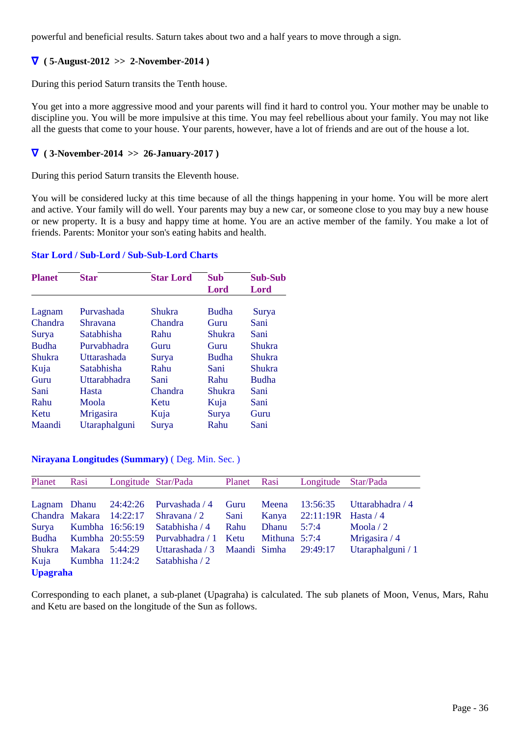powerful and beneficial results. Saturn takes about two and a half years to move through a sign.

# ∇ **( 5-August-2012 >> 2-November-2014 )**

During this period Saturn transits the Tenth house.

You get into a more aggressive mood and your parents will find it hard to control you. Your mother may be unable to discipline you. You will be more impulsive at this time. You may feel rebellious about your family. You may not like all the guests that come to your house. Your parents, however, have a lot of friends and are out of the house a lot.

# ∇ **( 3-November-2014 >> 26-January-2017 )**

During this period Saturn transits the Eleventh house.

You will be considered lucky at this time because of all the things happening in your home. You will be more alert and active. Your family will do well. Your parents may buy a new car, or someone close to you may buy a new house or new property. It is a busy and happy time at home. You are an active member of the family. You make a lot of friends. Parents: Monitor your son's eating habits and health.

# **Star Lord / Sub-Lord / Sub-Sub-Lord Charts**

| <b>Planet</b> | <b>Star</b>   | <b>Star Lord</b> | Sub          | <b>Sub-Sub</b> |
|---------------|---------------|------------------|--------------|----------------|
|               |               |                  | Lord         | Lord           |
|               |               |                  |              |                |
| Lagnam        | Purvashada    | Shukra           | <b>Budha</b> | Surya          |
| Chandra       | Shravana      | Chandra          | Guru         | Sani           |
| Surya         | Satabhisha    | Rahu             | Shukra       | Sani           |
| <b>Budha</b>  | Purvabhadra   | Guru             | Guru         | <b>Shukra</b>  |
| <b>Shukra</b> | Uttarashada   | Surya            | <b>Budha</b> | Shukra         |
| Kuja          | Satabhisha    | Rahu             | Sani         | Shukra         |
| Guru          | Uttarabhadra  | Sani             | Rahu         | <b>Budha</b>   |
| Sani          | Hasta         | Chandra          | Shukra       | Sani           |
| Rahu          | Moola         | Ketu             | Kuja         | Sani           |
| Ketu          | Mrigasira     | Kuja             | Surya        | Guru           |
| Maandi        | Utaraphalguni | Surya            | Rahu         | Sani           |

# **Nirayana Longitudes (Summary)** ( Deg. Min. Sec. )

| Planet          | Rasi             | Longitude Star/Pada     |                 | Planet Rasi  |                 | Longitude Star/Pada   |                   |
|-----------------|------------------|-------------------------|-----------------|--------------|-----------------|-----------------------|-------------------|
|                 |                  |                         |                 |              |                 |                       |                   |
| Lagnam Dhanu    |                  | 24:42:26                | Purvashada / 4  | Guru         | Meena           | 13:56:35              | Uttarabhadra / 4  |
|                 |                  | Chandra Makara 14:22:17 | Shravana $/2$   | Sani         | Kanya           | $22:11:19R$ Hasta / 4 |                   |
| Surya           | Kumbha 16:56:19  |                         | Satabhisha / 4  | Rahu         | Dhanu           | 5:7:4                 | Moola $/2$        |
| <b>Budha</b>    | Kumbha 20:55:59  |                         | Purvabhadra / 1 | Ketu         | Mithuna $5:7:4$ |                       | Mrigasira / 4     |
| Shukra          | Makara 5:44:29   |                         | Uttarashada / 3 | Maandi Simha |                 | 29:49:17              | Utaraphalguni / 1 |
| Kuja            | Kumbha $11:24:2$ |                         | Satabhisha / 2  |              |                 |                       |                   |
| <b>Upagraha</b> |                  |                         |                 |              |                 |                       |                   |

Corresponding to each planet, a sub-planet (Upagraha) is calculated. The sub planets of Moon, Venus, Mars, Rahu and Ketu are based on the longitude of the Sun as follows.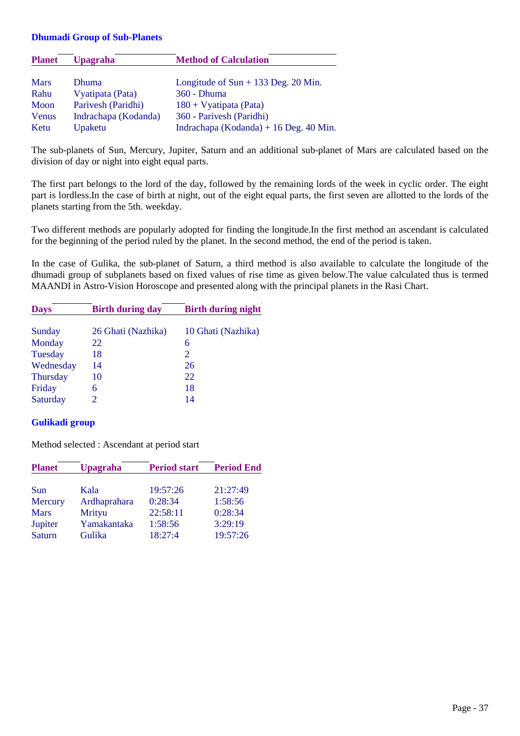#### **Dhumadi Group of Sub-Planets**

| <b>Planet</b> | <b>Upagraha</b>      | <b>Method of Calculation</b>           |
|---------------|----------------------|----------------------------------------|
|               |                      |                                        |
| <b>Mars</b>   | <b>Dhuma</b>         | Longitude of $Sun + 133$ Deg. 20 Min.  |
| Rahu          | Vyatipata (Pata)     | 360 - Dhuma                            |
| Moon          | Parivesh (Paridhi)   | $180 + V$ yatipata (Pata)              |
| Venus         | Indrachapa (Kodanda) | 360 - Parivesh (Paridhi)               |
| Ketu          | Upaketu              | Indrachapa (Kodanda) + 16 Deg. 40 Min. |

The sub-planets of Sun, Mercury, Jupiter, Saturn and an additional sub-planet of Mars are calculated based on the division of day or night into eight equal parts.

The first part belongs to the lord of the day, followed by the remaining lords of the week in cyclic order. The eight part is lordless.In the case of birth at night, out of the eight equal parts, the first seven are allotted to the lords of the planets starting from the 5th. weekday.

Two different methods are popularly adopted for finding the longitude.In the first method an ascendant is calculated for the beginning of the period ruled by the planet. In the second method, the end of the period is taken.

In the case of Gulika, the sub-planet of Saturn, a third method is also available to calculate the longitude of the dhumadi group of subplanets based on fixed values of rise time as given below.The value calculated thus is termed MAANDI in Astro-Vision Horoscope and presented along with the principal planets in the Rasi Chart.

| <b>Days</b>     | <b>Birth during day</b> | <b>Birth during night</b> |  |  |
|-----------------|-------------------------|---------------------------|--|--|
|                 |                         |                           |  |  |
| Sunday          | 26 Ghati (Nazhika)      | 10 Ghati (Nazhika)        |  |  |
| Monday          | 22                      | 6                         |  |  |
| Tuesday         | 18                      | $\mathcal{D}_{\cdot}$     |  |  |
| Wednesday       | 14                      | 26                        |  |  |
| <b>Thursday</b> | 10                      | 22                        |  |  |
| Friday          | 6                       | 18                        |  |  |
| Saturday        | 2                       | 14                        |  |  |

# **Gulikadi group**

Method selected : Ascendant at period start

| <b>Planet</b> | <b>Upagraha</b> | <b>Period start</b> | <b>Period End</b> |
|---------------|-----------------|---------------------|-------------------|
| Sun           | Kala            | 19:57:26            | 21:27:49          |
| Mercury       | Ardhaprahara    | 0:28:34             | 1:58:56           |
| <b>Mars</b>   | Mrityu          | 22:58:11            | 0:28:34           |
| Jupiter       | Yamakantaka     | 1:58:56             | 3:29:19           |
| Saturn        | Gulika          | 18:27:4             | 19:57:26          |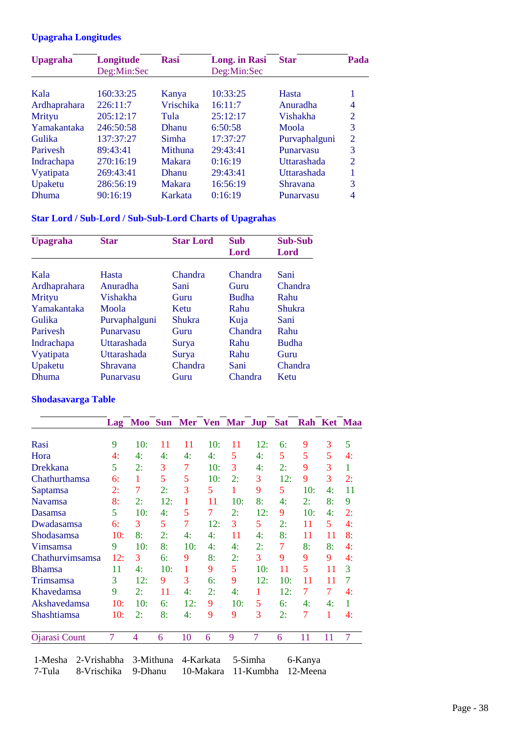# **Upagraha Longitudes**

| <b>Upagraha</b>   | Longitude   | <b>Rasi</b>   | <b>Long.</b> in Rasi | <b>Star</b>   | Pada           |  |
|-------------------|-------------|---------------|----------------------|---------------|----------------|--|
|                   | Deg:Min:Sec |               | Deg:Min:Sec          |               |                |  |
|                   |             |               |                      |               |                |  |
| Kala              | 160:33:25   | Kanya         | 10:33:25             | Hasta         |                |  |
| Ardhaprahara      | 226:11:7    | Vrischika     | 16:11:7              | Anuradha      | 4              |  |
| Mrityu            | 205:12:17   | Tula          | 25:12:17             | Vishakha      | 2              |  |
| Yamakantaka       | 246:50:58   | <b>Dhanu</b>  | 6:50:58              | Moola         | 3              |  |
| Gulika            | 137:37:27   | Simha         | 17:37:27             | Purvaphalguni | $\overline{2}$ |  |
| Parivesh          | 89:43:41    | Mithuna       | 29:43:41             | Punarvasu     | 3              |  |
| <b>Indrachapa</b> | 270:16:19   | <b>Makara</b> | 0:16:19              | Uttarashada   | $\overline{2}$ |  |
| Vyatipata         | 269:43:41   | <b>Dhanu</b>  | 29:43:41             | Uttarashada   |                |  |
| Upaketu           | 286:56:19   | <b>Makara</b> | 16:56:19             | Shravana      | 3              |  |
| Dhuma             | 90:16:19    | Karkata       | 0:16:19              | Punaryasu     | 4              |  |

# **Star Lord / Sub-Lord / Sub-Sub-Lord Charts of Upagrahas**

| <b>Upagraha</b> | <b>Star</b>   | <b>Star Lord</b> | Sub          | <b>Sub-Sub</b> |
|-----------------|---------------|------------------|--------------|----------------|
|                 |               |                  | Lord         | Lord           |
|                 |               |                  |              |                |
| Kala            | Hasta         | Chandra          | Chandra      | Sani           |
| Ardhaprahara    | Anuradha      | Sani             | Guru         | Chandra        |
| Mrityu          | Vishakha      | Guru             | <b>Budha</b> | Rahu           |
| Yamakantaka     | Moola         | Ketu             | Rahu         | <b>Shukra</b>  |
| Gulika          | Purvaphalguni | <b>Shukra</b>    | Kuja         | Sani           |
| Parivesh        | Punaryasu     | Guru             | Chandra      | Rahu           |
| Indrachapa      | Uttarashada   | Surya            | Rahu         | <b>Budha</b>   |
| Vyatipata       | Uttarashada   | Surya            | Rahu         | Guru           |
| Upaketu         | Shravana      | Chandra          | Sani         | Chandra        |
| <b>Dhuma</b>    | Punaryasu     | Guru             | Chandra      | Ketu           |

# **Shodasavarga Table**

|                 | Lag            |     |     | Moo Sun Mer Ven Mar Jup |     |     |     | <b>Sat</b> |     |    | Rah Ket Maa |
|-----------------|----------------|-----|-----|-------------------------|-----|-----|-----|------------|-----|----|-------------|
|                 |                |     |     |                         |     |     |     |            |     |    |             |
| Rasi            | 9              | 10: | 11  | 11                      | 10: | 11  | 12: | 6:         | 9   | 3  | 5           |
| Hora            | 4:             | 4:  | 4:  | 4:                      | 4:  | 5   | 4:  | 5          | 5   | 5  | 4:          |
| Drekkana        | 5              | 2:  | 3   | 7                       | 10: | 3   | 4:  | 2:         | 9   | 3  | 1           |
| Chathurthamsa   | 6:             | 1   | 5   | 5                       | 10: | 2:  | 3   | 12:        | 9   | 3  | 2:          |
| Saptamsa        | 2:             | 7   | 2:  | 3                       | 5   | 1   | 9   | 5          | 10: | 4: | 11          |
| <b>Navamsa</b>  | 8:             | 2:  | 12: | 1                       | 11  | 10: | 8:  | 4:         | 2:  | 8: | 9           |
| Dasamsa         | 5              | 10: | 4:  | 5                       | 7   | 2:  | 12: | 9          | 10: | 4: | 2:          |
| Dwadasamsa      | 6:             | 3   | 5   | 7                       | 12: | 3   | 5   | 2:         | 11  | 5  | 4:          |
| Shodasamsa      | 10:            | 8:  | 2:  | 4:                      | 4:  | 11  | 4:  | 8:         | 11  | 11 | 8:          |
| Vimsamsa        | 9              | 10: | 8:  | 10:                     | 4:  | 4:  | 2:  | 7          | 8:  | 8: | 4:          |
| Chathurvimsamsa | 12:            | 3   | 6:  | 9                       | 8:  | 2:  | 3   | 9          | 9   | 9  | 4:          |
| <b>Bhamsa</b>   | 11             | 4:  | 10: | 1                       | 9   | 5   | 10: | 11         | 5   | 11 | 3           |
| Trimsamsa       | 3              | 12: | 9   | 3                       | 6:  | 9   | 12: | 10:        | 11  | 11 | 7           |
| Khavedamsa      | 9              | 2:  | 11  | 4:                      | 2:  | 4:  | 1   | 12:        | 7   | 7  | 4:          |
| Akshavedamsa    | 10:            | 10: | 6:  | 12:                     | 9   | 10: | 5   | 6:         | 4:  | 4: | 1           |
| Shashtiamsa     | 10:            | 2:  | 8:  | 4:                      | 9   | 9   | 3   | 2:         | 7   | 1  | 4:          |
| Ojarasi Count   | $\overline{7}$ | 4   | 6   | 10                      | 6   | 9   | 7   | 6          | 11  | 11 | 7           |

 1-Mesha 2-Vrishabha 3-Mithuna 4-Karkata 5-Simha 6-Kanya 10-Makara 11-Kumbha 12-Meena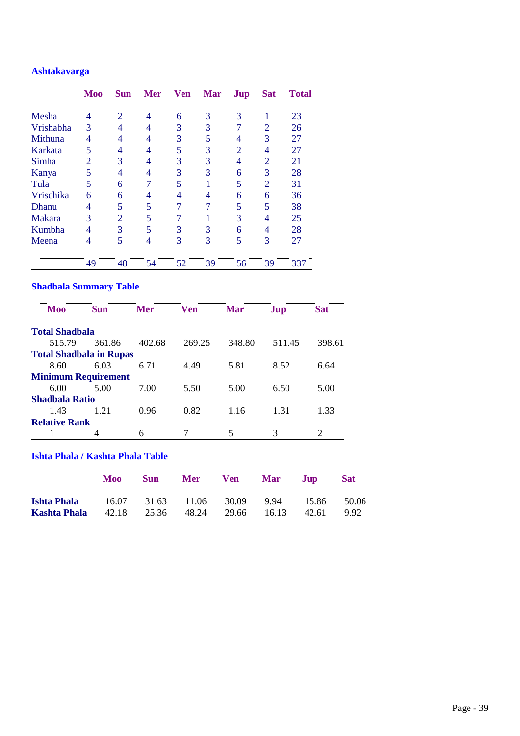# **Ashtakavarga**

|               | <b>Moo</b>     | <b>Sun</b> | <b>Mer</b> | <b>Ven</b> | <b>Mar</b> | <b>Jup</b>     | <b>Sat</b>     | <b>Total</b> |
|---------------|----------------|------------|------------|------------|------------|----------------|----------------|--------------|
|               |                |            |            |            |            |                |                |              |
| Mesha         | 4              | 2          | 4          | 6          | 3          | 3              |                | 23           |
| Vrishabha     | 3              | 4          | 4          | 3          | 3          | 7              | $\overline{2}$ | 26           |
| Mithuna       | 4              | 4          | 4          | 3          | 5          | 4              | 3              | 27           |
| Karkata       | 5              | 4          | 4          | 5          | 3          | $\overline{2}$ | 4              | 27           |
| Simha         | $\mathfrak{D}$ | 3          | 4          | 3          | 3          | 4              | $\overline{2}$ | 21           |
| Kanya         | 5              | 4          | 4          | 3          | 3          | 6              | 3              | 28           |
| Tula          | 5              | 6          | 7          | 5          |            | 5              | $\overline{2}$ | 31           |
| Vrischika     | 6              | 6          | 4          | 4          | 4          | 6              | 6              | 36           |
| <b>Dhanu</b>  | 4              | 5          | 5          | 7          |            | 5              | 5              | 38           |
| <b>Makara</b> | 3              | 2          | 5          |            |            | 3              | 4              | 25           |
| Kumbha        | 4              | 3          | 5          | 3          | 3          | 6              | 4              | 28           |
| Meena         | 4              | 5          | 4          | 3          | 3          | 5              | 3              | 27           |
|               | 49             | 48         | 54         | 52         | 39         | 56             | 39             | 337          |

# **Shadbala Summary Table**

| Moo                            | <b>Sun</b> | <b>Mer</b> | <b>Ven</b> | <b>Mar</b> | Jup    | <b>Sat</b> |  |
|--------------------------------|------------|------------|------------|------------|--------|------------|--|
| <b>Total Shadbala</b>          |            |            |            |            |        |            |  |
| 515.79                         | 361.86     | 402.68     | 269.25     | 348.80     | 511.45 | 398.61     |  |
| <b>Total Shadbala in Rupas</b> |            |            |            |            |        |            |  |
| 8.60                           | 6.03       | 6.71       | 4.49       | 5.81       | 8.52   | 6.64       |  |
| <b>Minimum Requirement</b>     |            |            |            |            |        |            |  |
| 6.00                           | 5.00       | 7.00       | 5.50       | 5.00       | 6.50   | 5.00       |  |
| Shadbala Ratio                 |            |            |            |            |        |            |  |
| 1.43                           | 1 21       | 0.96       | 0.82       | 1.16       | 1.31   | 1.33       |  |
| <b>Relative Rank</b>           |            |            |            |            |        |            |  |
|                                | 4          | 6          |            |            | 3      |            |  |

# **Ishta Phala / Kashta Phala Table**

|                     | Moo   | <b>Sun</b> | <b>Mer</b> | Ven   | Mar   | Jup   | <b>Sat</b> |
|---------------------|-------|------------|------------|-------|-------|-------|------------|
| <b>Ishta Phala</b>  | 16.07 | 31.63      | 11.06      | 30.09 | 994   | 15.86 | 50.06      |
| <b>Kashta Phala</b> | 42.18 | 25.36      | 48.24      | 29.66 | 16.13 | 42.61 | 9.92       |